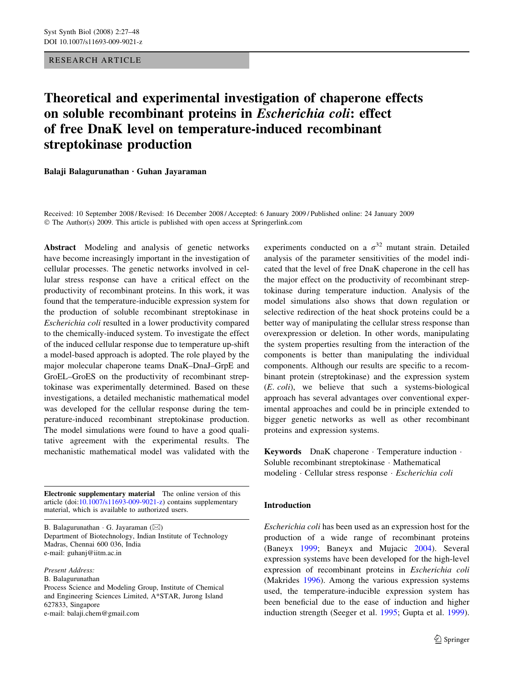## RESEARCH ARTICLE

# Theoretical and experimental investigation of chaperone effects on soluble recombinant proteins in Escherichia coli: effect of free DnaK level on temperature-induced recombinant streptokinase production

Balaji Balagurunathan  $\cdot$  Guhan Jayaraman

Received: 10 September 2008 / Revised: 16 December 2008 / Accepted: 6 January 2009 / Published online: 24 January 2009  $\odot$  The Author(s) 2009. This article is published with open access at Springerlink.com

Abstract Modeling and analysis of genetic networks have become increasingly important in the investigation of cellular processes. The genetic networks involved in cellular stress response can have a critical effect on the productivity of recombinant proteins. In this work, it was found that the temperature-inducible expression system for the production of soluble recombinant streptokinase in Escherichia coli resulted in a lower productivity compared to the chemically-induced system. To investigate the effect of the induced cellular response due to temperature up-shift a model-based approach is adopted. The role played by the major molecular chaperone teams DnaK–DnaJ–GrpE and GroEL–GroES on the productivity of recombinant streptokinase was experimentally determined. Based on these investigations, a detailed mechanistic mathematical model was developed for the cellular response during the temperature-induced recombinant streptokinase production. The model simulations were found to have a good qualitative agreement with the experimental results. The mechanistic mathematical model was validated with the

Electronic supplementary material The online version of this article (doi:[10.1007/s11693-009-9021-z](http://dx.doi.org/10.1007/s11693-009-9021-z)) contains supplementary material, which is available to authorized users.

B. Balagurunathan  $\cdot$  G. Jayaraman ( $\boxtimes$ ) Department of Biotechnology, Indian Institute of Technology Madras, Chennai 600 036, India e-mail: guhanj@iitm.ac.in

Present Address:

B. Balagurunathan

Process Science and Modeling Group, Institute of Chemical and Engineering Sciences Limited, A\*STAR, Jurong Island 627833, Singapore e-mail: balaji.chem@gmail.com

experiments conducted on a  $\sigma^{32}$  mutant strain. Detailed analysis of the parameter sensitivities of the model indicated that the level of free DnaK chaperone in the cell has the major effect on the productivity of recombinant streptokinase during temperature induction. Analysis of the model simulations also shows that down regulation or selective redirection of the heat shock proteins could be a better way of manipulating the cellular stress response than overexpression or deletion. In other words, manipulating the system properties resulting from the interaction of the components is better than manipulating the individual components. Although our results are specific to a recombinant protein (streptokinase) and the expression system (E. coli), we believe that such a systems-biological approach has several advantages over conventional experimental approaches and could be in principle extended to bigger genetic networks as well as other recombinant proteins and expression systems.

Keywords DnaK chaperone · Temperature induction · Soluble recombinant streptokinase · Mathematical modeling · Cellular stress response · Escherichia coli

## Introduction

Escherichia coli has been used as an expression host for the production of a wide range of recombinant proteins (Baneyx [1999;](#page-20-0) Baneyx and Mujacic [2004](#page-20-0)). Several expression systems have been developed for the high-level expression of recombinant proteins in Escherichia coli (Makrides [1996](#page-20-0)). Among the various expression systems used, the temperature-inducible expression system has been beneficial due to the ease of induction and higher induction strength (Seeger et al. [1995;](#page-21-0) Gupta et al. [1999](#page-20-0)).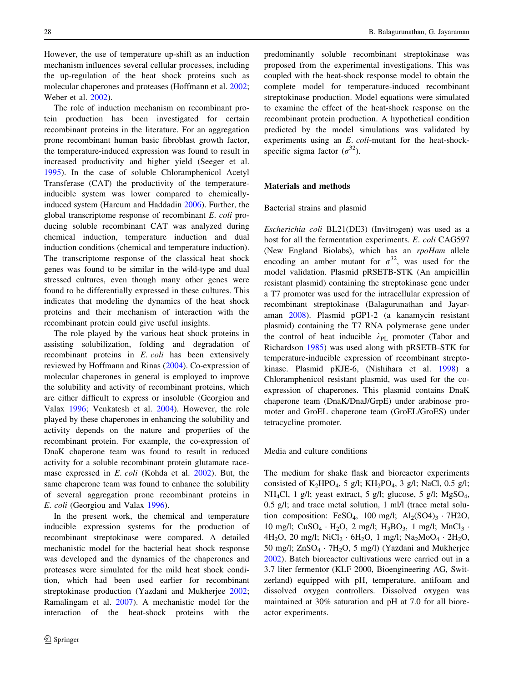However, the use of temperature up-shift as an induction mechanism influences several cellular processes, including the up-regulation of the heat shock proteins such as molecular chaperones and proteases (Hoffmann et al. [2002](#page-20-0); Weber et al. [2002\)](#page-21-0).

The role of induction mechanism on recombinant protein production has been investigated for certain recombinant proteins in the literature. For an aggregation prone recombinant human basic fibroblast growth factor, the temperature-induced expression was found to result in increased productivity and higher yield (Seeger et al. [1995\)](#page-21-0). In the case of soluble Chloramphenicol Acetyl Transferase (CAT) the productivity of the temperatureinducible system was lower compared to chemicallyinduced system (Harcum and Haddadin [2006](#page-20-0)). Further, the global transcriptome response of recombinant E. coli producing soluble recombinant CAT was analyzed during chemical induction, temperature induction and dual induction conditions (chemical and temperature induction). The transcriptome response of the classical heat shock genes was found to be similar in the wild-type and dual stressed cultures, even though many other genes were found to be differentially expressed in these cultures. This indicates that modeling the dynamics of the heat shock proteins and their mechanism of interaction with the recombinant protein could give useful insights.

The role played by the various heat shock proteins in assisting solubilization, folding and degradation of recombinant proteins in E. coli has been extensively reviewed by Hoffmann and Rinas [\(2004](#page-20-0)). Co-expression of molecular chaperones in general is employed to improve the solubility and activity of recombinant proteins, which are either difficult to express or insoluble (Georgiou and Valax [1996;](#page-20-0) Venkatesh et al. [2004\)](#page-21-0). However, the role played by these chaperones in enhancing the solubility and activity depends on the nature and properties of the recombinant protein. For example, the co-expression of DnaK chaperone team was found to result in reduced activity for a soluble recombinant protein glutamate racemase expressed in E. coli (Kohda et al. [2002\)](#page-20-0). But, the same chaperone team was found to enhance the solubility of several aggregation prone recombinant proteins in E. coli (Georgiou and Valax [1996\)](#page-20-0).

In the present work, the chemical and temperature inducible expression systems for the production of recombinant streptokinase were compared. A detailed mechanistic model for the bacterial heat shock response was developed and the dynamics of the chaperones and proteases were simulated for the mild heat shock condition, which had been used earlier for recombinant streptokinase production (Yazdani and Mukherjee [2002](#page-21-0); Ramalingam et al. [2007](#page-20-0)). A mechanistic model for the interaction of the heat-shock proteins with the predominantly soluble recombinant streptokinase was proposed from the experimental investigations. This was coupled with the heat-shock response model to obtain the complete model for temperature-induced recombinant streptokinase production. Model equations were simulated to examine the effect of the heat-shock response on the recombinant protein production. A hypothetical condition predicted by the model simulations was validated by experiments using an E. coli-mutant for the heat-shockspecific sigma factor  $(\sigma^{32})$ .

### Materials and methods

#### Bacterial strains and plasmid

Escherichia coli BL21(DE3) (Invitrogen) was used as a host for all the fermentation experiments. E. coli CAG597 (New England Biolabs), which has an rpoHam allele encoding an amber mutant for  $\sigma^{32}$ , was used for the model validation. Plasmid pRSETB-STK (An ampicillin resistant plasmid) containing the streptokinase gene under a T7 promoter was used for the intracellular expression of recombinant streptokinase (Balagurunathan and Jayaraman [2008\)](#page-20-0). Plasmid pGP1-2 (a kanamycin resistant plasmid) containing the T7 RNA polymerase gene under the control of heat inducible  $\lambda_{PL}$  promoter (Tabor and Richardson [1985](#page-21-0)) was used along with pRSETB-STK for temperature-inducible expression of recombinant streptokinase. Plasmid pKJE-6, (Nishihara et al. [1998](#page-20-0)) a Chloramphenicol resistant plasmid, was used for the coexpression of chaperones. This plasmid contains DnaK chaperone team (DnaK/DnaJ/GrpE) under arabinose promoter and GroEL chaperone team (GroEL/GroES) under tetracycline promoter.

#### Media and culture conditions

The medium for shake flask and bioreactor experiments consisted of K<sub>2</sub>HPO<sub>4</sub>, 5 g/l; KH<sub>2</sub>PO<sub>4</sub>, 3 g/l; NaCl, 0.5 g/l; NH<sub>4</sub>Cl, 1 g/l; yeast extract, 5 g/l; glucose, 5 g/l; MgSO<sub>4</sub>, 0.5 g/l; and trace metal solution, 1 ml/l (trace metal solution composition: FeSO<sub>4</sub>, 100 mg/l;  $Al_2(SO4)_3 \cdot 7H2O$ , 10 mg/l; CuSO<sub>4</sub> · H<sub>2</sub>O, 2 mg/l; H<sub>3</sub>BO<sub>3</sub>, 1 mg/l; MnCl<sub>3</sub> · 4H<sub>2</sub>O, 20 mg/l; NiCl<sub>2</sub>  $\cdot$  6H<sub>2</sub>O, 1 mg/l; Na<sub>2</sub>MoO<sub>4</sub>  $\cdot$  2H<sub>2</sub>O, 50 mg/l;  $ZnSO_4 \cdot 7H_2O$ , 5 mg/l) (Yazdani and Mukherjee [2002](#page-21-0)). Batch bioreactor cultivations were carried out in a 3.7 liter fermentor (KLF 2000, Bioengineering AG, Switzerland) equipped with pH, temperature, antifoam and dissolved oxygen controllers. Dissolved oxygen was maintained at 30% saturation and pH at 7.0 for all bioreactor experiments.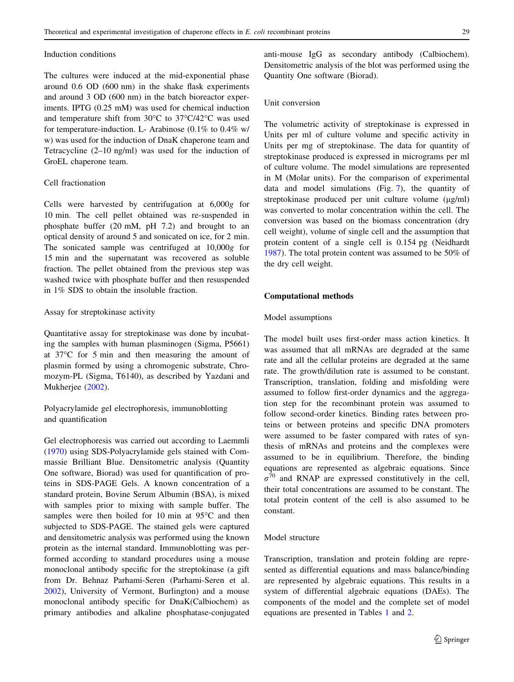#### Induction conditions

The cultures were induced at the mid-exponential phase around 0.6 OD (600 nm) in the shake flask experiments and around 3 OD (600 nm) in the batch bioreactor experiments. IPTG (0.25 mM) was used for chemical induction and temperature shift from  $30^{\circ}$ C to  $37^{\circ}$ C/42 $^{\circ}$ C was used for temperature-induction. L- Arabinose (0.1% to 0.4% w/ w) was used for the induction of DnaK chaperone team and Tetracycline (2–10 ng/ml) was used for the induction of GroEL chaperone team.

# Cell fractionation

Cells were harvested by centrifugation at 6,000g for 10 min. The cell pellet obtained was re-suspended in phosphate buffer (20 mM, pH 7.2) and brought to an optical density of around 5 and sonicated on ice, for 2 min. The sonicated sample was centrifuged at 10,000g for 15 min and the supernatant was recovered as soluble fraction. The pellet obtained from the previous step was washed twice with phosphate buffer and then resuspended in 1% SDS to obtain the insoluble fraction.

## Assay for streptokinase activity

Quantitative assay for streptokinase was done by incubating the samples with human plasminogen (Sigma, P5661) at  $37^{\circ}$ C for 5 min and then measuring the amount of plasmin formed by using a chromogenic substrate, Chromozym-PL (Sigma, T6140), as described by Yazdani and Mukherjee ([2002\)](#page-21-0).

Polyacrylamide gel electrophoresis, immunoblotting and quantification

Gel electrophoresis was carried out according to Laemmli [\(1970](#page-20-0)) using SDS-Polyacrylamide gels stained with Commassie Brilliant Blue. Densitometric analysis (Quantity One software, Biorad) was used for quantification of proteins in SDS-PAGE Gels. A known concentration of a standard protein, Bovine Serum Albumin (BSA), is mixed with samples prior to mixing with sample buffer. The samples were then boiled for 10 min at  $95^{\circ}$ C and then subjected to SDS-PAGE. The stained gels were captured and densitometric analysis was performed using the known protein as the internal standard. Immunoblotting was performed according to standard procedures using a mouse monoclonal antibody specific for the streptokinase (a gift from Dr. Behnaz Parhami-Seren (Parhami-Seren et al. [2002\)](#page-20-0), University of Vermont, Burlington) and a mouse monoclonal antibody specific for DnaK(Calbiochem) as primary antibodies and alkaline phosphatase-conjugated anti-mouse IgG as secondary antibody (Calbiochem). Densitometric analysis of the blot was performed using the Quantity One software (Biorad).

# Unit conversion

The volumetric activity of streptokinase is expressed in Units per ml of culture volume and specific activity in Units per mg of streptokinase. The data for quantity of streptokinase produced is expressed in micrograms per ml of culture volume. The model simulations are represented in M (Molar units). For the comparison of experimental data and model simulations (Fig. [7\)](#page-9-0), the quantity of streptokinase produced per unit culture volume  $(\mu g/ml)$ was converted to molar concentration within the cell. The conversion was based on the biomass concentration (dry cell weight), volume of single cell and the assumption that protein content of a single cell is 0.154 pg (Neidhardt [1987](#page-20-0)). The total protein content was assumed to be 50% of the dry cell weight.

## Computational methods

#### Model assumptions

The model built uses first-order mass action kinetics. It was assumed that all mRNAs are degraded at the same rate and all the cellular proteins are degraded at the same rate. The growth/dilution rate is assumed to be constant. Transcription, translation, folding and misfolding were assumed to follow first-order dynamics and the aggregation step for the recombinant protein was assumed to follow second-order kinetics. Binding rates between proteins or between proteins and specific DNA promoters were assumed to be faster compared with rates of synthesis of mRNAs and proteins and the complexes were assumed to be in equilibrium. Therefore, the binding equations are represented as algebraic equations. Since  $\sigma^{70}$  and RNAP are expressed constitutively in the cell, their total concentrations are assumed to be constant. The total protein content of the cell is also assumed to be constant.

# Model structure

Transcription, translation and protein folding are represented as differential equations and mass balance/binding are represented by algebraic equations. This results in a system of differential algebraic equations (DAEs). The components of the model and the complete set of model equations are presented in Tables [1](#page-13-0) and [2](#page-14-0).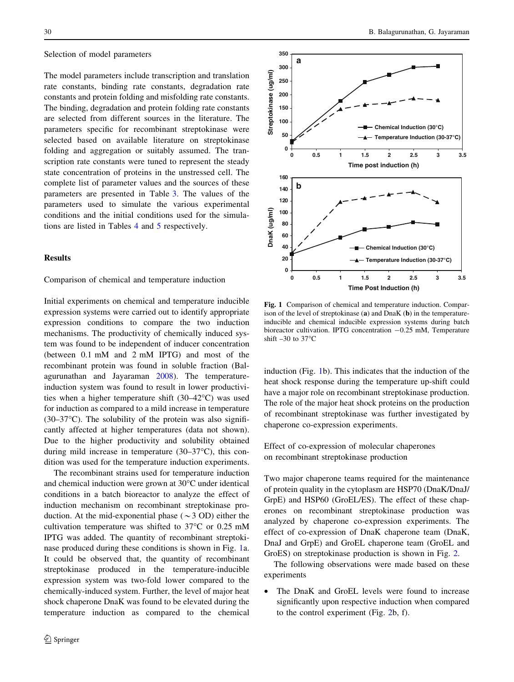#### <span id="page-3-0"></span>Selection of model parameters

The model parameters include transcription and translation rate constants, binding rate constants, degradation rate constants and protein folding and misfolding rate constants. The binding, degradation and protein folding rate constants are selected from different sources in the literature. The parameters specific for recombinant streptokinase were selected based on available literature on streptokinase folding and aggregation or suitably assumed. The transcription rate constants were tuned to represent the steady state concentration of proteins in the unstressed cell. The complete list of parameter values and the sources of these parameters are presented in Table [3.](#page-16-0) The values of the parameters used to simulate the various experimental conditions and the initial conditions used for the simulations are listed in Tables [4](#page-18-0) and [5](#page-18-0) respectively.

### Results

## Comparison of chemical and temperature induction

Initial experiments on chemical and temperature inducible expression systems were carried out to identify appropriate expression conditions to compare the two induction mechanisms. The productivity of chemically induced system was found to be independent of inducer concentration (between 0.1 mM and 2 mM IPTG) and most of the recombinant protein was found in soluble fraction (Balagurunathan and Jayaraman [2008\)](#page-20-0). The temperatureinduction system was found to result in lower productivities when a higher temperature shift  $(30-42^{\circ}\text{C})$  was used for induction as compared to a mild increase in temperature  $(30-37\degree C)$ . The solubility of the protein was also significantly affected at higher temperatures (data not shown). Due to the higher productivity and solubility obtained during mild increase in temperature  $(30-37^{\circ}C)$ , this condition was used for the temperature induction experiments.

The recombinant strains used for temperature induction and chemical induction were grown at  $30^{\circ}$ C under identical conditions in a batch bioreactor to analyze the effect of induction mechanism on recombinant streptokinase production. At the mid-exponential phase ( $\sim$ 3 OD) either the cultivation temperature was shifted to  $37^{\circ}$ C or 0.25 mM IPTG was added. The quantity of recombinant streptokinase produced during these conditions is shown in Fig. 1a. It could be observed that, the quantity of recombinant streptokinase produced in the temperature-inducible expression system was two-fold lower compared to the chemically-induced system. Further, the level of major heat shock chaperone DnaK was found to be elevated during the temperature induction as compared to the chemical



Fig. 1 Comparison of chemical and temperature induction. Comparison of the level of streptokinase (a) and DnaK (b) in the temperatureinducible and chemical inducible expression systems during batch bioreactor cultivation. IPTG concentration  $-0.25$  mM, Temperature shift  $-30$  to  $37^{\circ}$ C

induction (Fig. 1b). This indicates that the induction of the heat shock response during the temperature up-shift could have a major role on recombinant streptokinase production. The role of the major heat shock proteins on the production of recombinant streptokinase was further investigated by chaperone co-expression experiments.

Effect of co-expression of molecular chaperones on recombinant streptokinase production

Two major chaperone teams required for the maintenance of protein quality in the cytoplasm are HSP70 (DnaK/DnaJ/ GrpE) and HSP60 (GroEL/ES). The effect of these chaperones on recombinant streptokinase production was analyzed by chaperone co-expression experiments. The effect of co-expression of DnaK chaperone team (DnaK, DnaJ and GrpE) and GroEL chaperone team (GroEL and GroES) on streptokinase production is shown in Fig. [2.](#page-4-0)

The following observations were made based on these experiments

• The DnaK and GroEL levels were found to increase significantly upon respective induction when compared to the control experiment (Fig. [2b](#page-4-0), f).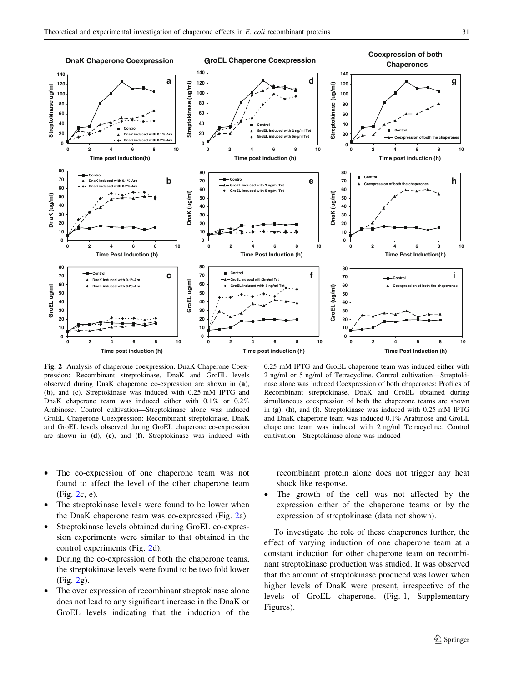<span id="page-4-0"></span>

Fig. 2 Analysis of chaperone coexpression. DnaK Chaperone Coexpression: Recombinant streptokinase, DnaK and GroEL levels observed during DnaK chaperone co-expression are shown in (a), (b), and (c). Streptokinase was induced with 0.25 mM IPTG and DnaK chaperone team was induced either with 0.1% or 0.2% Arabinose. Control cultivation—Streptokinase alone was induced GroEL Chaperone Coexpression: Recombinant streptokinase, DnaK and GroEL levels observed during GroEL chaperone co-expression are shown in (d), (e), and (f). Streptokinase was induced with

2 ng/ml or 5 ng/ml of Tetracycline. Control cultivation—Streptokinase alone was induced Coexpression of both chaperones: Profiles of Recombinant streptokinase, DnaK and GroEL obtained during simultaneous coexpression of both the chaperone teams are shown in (g), (h), and (i). Streptokinase was induced with 0.25 mM IPTG and DnaK chaperone team was induced 0.1% Arabinose and GroEL chaperone team was induced with 2 ng/ml Tetracycline. Control cultivation—Streptokinase alone was induced

- The co-expression of one chaperone team was not found to affect the level of the other chaperone team (Fig. 2c, e).
- The streptokinase levels were found to be lower when the DnaK chaperone team was co-expressed (Fig. 2a).
- Streptokinase levels obtained during GroEL co-expression experiments were similar to that obtained in the control experiments (Fig. 2d).
- During the co-expression of both the chaperone teams, the streptokinase levels were found to be two fold lower (Fig. 2g).
- The over expression of recombinant streptokinase alone does not lead to any significant increase in the DnaK or GroEL levels indicating that the induction of the

recombinant protein alone does not trigger any heat shock like response.

The growth of the cell was not affected by the expression either of the chaperone teams or by the expression of streptokinase (data not shown).

To investigate the role of these chaperones further, the effect of varying induction of one chaperone team at a constant induction for other chaperone team on recombinant streptokinase production was studied. It was observed that the amount of streptokinase produced was lower when higher levels of DnaK were present, irrespective of the levels of GroEL chaperone. (Fig. 1, Supplementary Figures).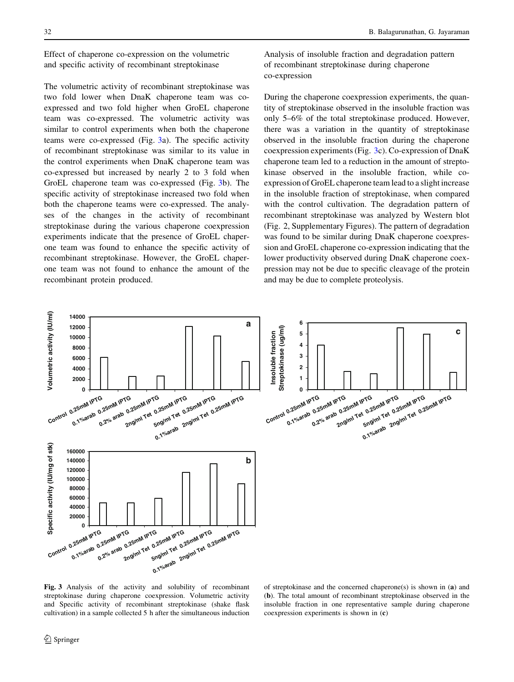Effect of chaperone co-expression on the volumetric and specific activity of recombinant streptokinase

The volumetric activity of recombinant streptokinase was two fold lower when DnaK chaperone team was coexpressed and two fold higher when GroEL chaperone team was co-expressed. The volumetric activity was similar to control experiments when both the chaperone teams were co-expressed (Fig. 3a). The specific activity of recombinant streptokinase was similar to its value in the control experiments when DnaK chaperone team was co-expressed but increased by nearly 2 to 3 fold when GroEL chaperone team was co-expressed (Fig. 3b). The specific activity of streptokinase increased two fold when both the chaperone teams were co-expressed. The analyses of the changes in the activity of recombinant streptokinase during the various chaperone coexpression experiments indicate that the presence of GroEL chaperone team was found to enhance the specific activity of recombinant streptokinase. However, the GroEL chaperone team was not found to enhance the amount of the recombinant protein produced.

Analysis of insoluble fraction and degradation pattern of recombinant streptokinase during chaperone co-expression

During the chaperone coexpression experiments, the quantity of streptokinase observed in the insoluble fraction was only 5–6% of the total streptokinase produced. However, there was a variation in the quantity of streptokinase observed in the insoluble fraction during the chaperone coexpression experiments (Fig. 3c). Co-expression of DnaK chaperone team led to a reduction in the amount of streptokinase observed in the insoluble fraction, while coexpression of GroEL chaperone team lead to a slight increase in the insoluble fraction of streptokinase, when compared with the control cultivation. The degradation pattern of recombinant streptokinase was analyzed by Western blot (Fig. 2, Supplementary Figures). The pattern of degradation was found to be similar during DnaK chaperone coexpression and GroEL chaperone co-expression indicating that the lower productivity observed during DnaK chaperone coexpression may not be due to specific cleavage of the protein and may be due to complete proteolysis.



Fig. 3 Analysis of the activity and solubility of recombinant streptokinase during chaperone coexpression. Volumetric activity and Specific activity of recombinant streptokinase (shake flask cultivation) in a sample collected 5 h after the simultaneous induction

of streptokinase and the concerned chaperone(s) is shown in (a) and (b). The total amount of recombinant streptokinase observed in the insoluble fraction in one representative sample during chaperone coexpression experiments is shown in (c)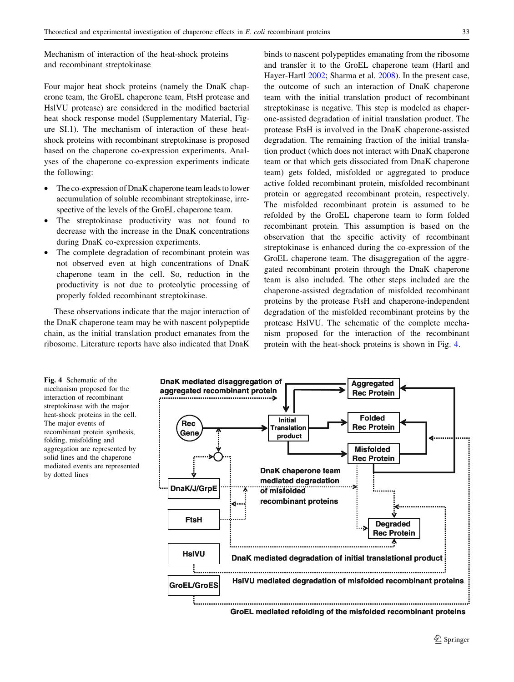Mechanism of interaction of the heat-shock proteins and recombinant streptokinase

Four major heat shock proteins (namely the DnaK chaperone team, the GroEL chaperone team, FtsH protease and HslVU protease) are considered in the modified bacterial heat shock response model (Supplementary Material, Figure SI.1). The mechanism of interaction of these heatshock proteins with recombinant streptokinase is proposed based on the chaperone co-expression experiments. Analyses of the chaperone co-expression experiments indicate the following:

- The co-expression of DnaK chaperone team leads to lower accumulation of soluble recombinant streptokinase, irrespective of the levels of the GroEL chaperone team.
- The streptokinase productivity was not found to decrease with the increase in the DnaK concentrations during DnaK co-expression experiments.
- The complete degradation of recombinant protein was not observed even at high concentrations of DnaK chaperone team in the cell. So, reduction in the productivity is not due to proteolytic processing of properly folded recombinant streptokinase.

These observations indicate that the major interaction of the DnaK chaperone team may be with nascent polypeptide chain, as the initial translation product emanates from the ribosome. Literature reports have also indicated that DnaK binds to nascent polypeptides emanating from the ribosome and transfer it to the GroEL chaperone team (Hartl and Hayer-Hartl [2002](#page-20-0); Sharma et al. [2008](#page-21-0)). In the present case, the outcome of such an interaction of DnaK chaperone team with the initial translation product of recombinant streptokinase is negative. This step is modeled as chaperone-assisted degradation of initial translation product. The protease FtsH is involved in the DnaK chaperone-assisted degradation. The remaining fraction of the initial translation product (which does not interact with DnaK chaperone team or that which gets dissociated from DnaK chaperone team) gets folded, misfolded or aggregated to produce active folded recombinant protein, misfolded recombinant protein or aggregated recombinant protein, respectively. The misfolded recombinant protein is assumed to be refolded by the GroEL chaperone team to form folded recombinant protein. This assumption is based on the observation that the specific activity of recombinant streptokinase is enhanced during the co-expression of the GroEL chaperone team. The disaggregation of the aggregated recombinant protein through the DnaK chaperone team is also included. The other steps included are the chaperone-assisted degradation of misfolded recombinant proteins by the protease FtsH and chaperone-independent degradation of the misfolded recombinant proteins by the protease HslVU. The schematic of the complete mechanism proposed for the interaction of the recombinant protein with the heat-shock proteins is shown in Fig. 4.

Fig. 4 Schematic of the mechanism proposed for the interaction of recombinant streptokinase with the major heat-shock proteins in the cell. The major events of recombinant protein synthesis, folding, misfolding and aggregation are represented by solid lines and the chaperone mediated events are represented by dotted lines

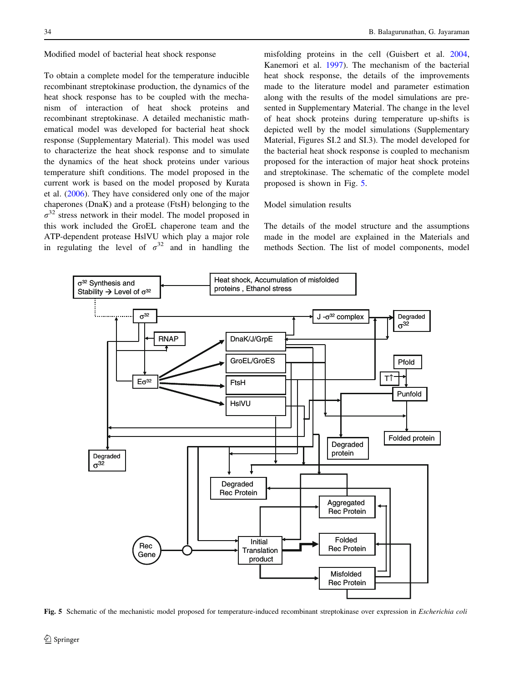To obtain a complete model for the temperature inducible recombinant streptokinase production, the dynamics of the heat shock response has to be coupled with the mechanism of interaction of heat shock proteins and recombinant streptokinase. A detailed mechanistic mathematical model was developed for bacterial heat shock response (Supplementary Material). This model was used to characterize the heat shock response and to simulate the dynamics of the heat shock proteins under various temperature shift conditions. The model proposed in the current work is based on the model proposed by Kurata et al. ([2006\)](#page-20-0). They have considered only one of the major chaperones (DnaK) and a protease (FtsH) belonging to the  $\sigma^{32}$  stress network in their model. The model proposed in this work included the GroEL chaperone team and the ATP-dependent protease HslVU which play a major role in regulating the level of  $\sigma^{32}$  and in handling the

misfolding proteins in the cell (Guisbert et al. [2004,](#page-20-0) Kanemori et al. [1997\)](#page-20-0). The mechanism of the bacterial heat shock response, the details of the improvements made to the literature model and parameter estimation along with the results of the model simulations are presented in Supplementary Material. The change in the level of heat shock proteins during temperature up-shifts is depicted well by the model simulations (Supplementary Material, Figures SI.2 and SI.3). The model developed for the bacterial heat shock response is coupled to mechanism proposed for the interaction of major heat shock proteins and streptokinase. The schematic of the complete model proposed is shown in Fig. 5.

## Model simulation results

The details of the model structure and the assumptions made in the model are explained in the Materials and methods Section. The list of model components, model



Fig. 5 Schematic of the mechanistic model proposed for temperature-induced recombinant streptokinase over expression in Escherichia coli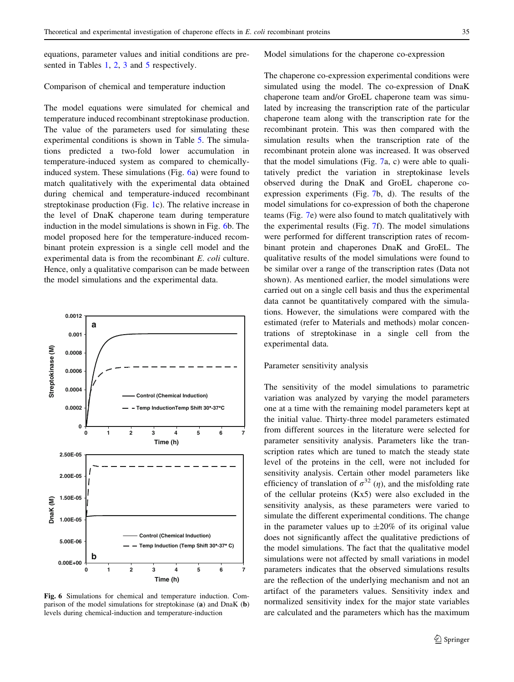equations, parameter values and initial conditions are pre-sented in Tables [1](#page-13-0), [2,](#page-14-0) [3](#page-16-0) and [5](#page-18-0) respectively.

#### Model simulations for the chaperone co-expression

#### Comparison of chemical and temperature induction

The model equations were simulated for chemical and temperature induced recombinant streptokinase production. The value of the parameters used for simulating these experimental conditions is shown in Table [5](#page-18-0). The simulations predicted a two-fold lower accumulation in temperature-induced system as compared to chemicallyinduced system. These simulations (Fig. 6a) were found to match qualitatively with the experimental data obtained during chemical and temperature-induced recombinant streptokinase production (Fig. [1c](#page-3-0)). The relative increase in the level of DnaK chaperone team during temperature induction in the model simulations is shown in Fig. 6b. The model proposed here for the temperature-induced recombinant protein expression is a single cell model and the experimental data is from the recombinant E. coli culture. Hence, only a qualitative comparison can be made between the model simulations and the experimental data.



Fig. 6 Simulations for chemical and temperature induction. Comparison of the model simulations for streptokinase (a) and DnaK (b) levels during chemical-induction and temperature-induction

The chaperone co-expression experimental conditions were simulated using the model. The co-expression of DnaK chaperone team and/or GroEL chaperone team was simulated by increasing the transcription rate of the particular chaperone team along with the transcription rate for the recombinant protein. This was then compared with the simulation results when the transcription rate of the recombinant protein alone was increased. It was observed that the model simulations (Fig. [7](#page-9-0)a, c) were able to qualitatively predict the variation in streptokinase levels observed during the DnaK and GroEL chaperone coexpression experiments (Fig. [7](#page-9-0)b, d). The results of the model simulations for co-expression of both the chaperone teams (Fig. [7](#page-9-0)e) were also found to match qualitatively with the experimental results (Fig. [7](#page-9-0)f). The model simulations were performed for different transcription rates of recombinant protein and chaperones DnaK and GroEL. The qualitative results of the model simulations were found to be similar over a range of the transcription rates (Data not shown). As mentioned earlier, the model simulations were carried out on a single cell basis and thus the experimental data cannot be quantitatively compared with the simulations. However, the simulations were compared with the estimated (refer to Materials and methods) molar concentrations of streptokinase in a single cell from the experimental data.

# Parameter sensitivity analysis

The sensitivity of the model simulations to parametric variation was analyzed by varying the model parameters one at a time with the remaining model parameters kept at the initial value. Thirty-three model parameters estimated from different sources in the literature were selected for parameter sensitivity analysis. Parameters like the transcription rates which are tuned to match the steady state level of the proteins in the cell, were not included for sensitivity analysis. Certain other model parameters like efficiency of translation of  $\sigma^{32}$  (*n*), and the misfolding rate of the cellular proteins (Kx5) were also excluded in the sensitivity analysis, as these parameters were varied to simulate the different experimental conditions. The change in the parameter values up to  $\pm 20\%$  of its original value does not significantly affect the qualitative predictions of the model simulations. The fact that the qualitative model simulations were not affected by small variations in model parameters indicates that the observed simulations results are the reflection of the underlying mechanism and not an artifact of the parameters values. Sensitivity index and normalized sensitivity index for the major state variables are calculated and the parameters which has the maximum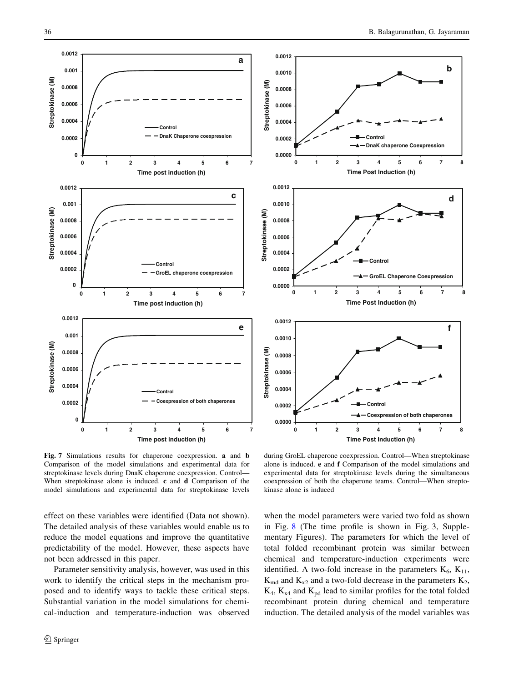<span id="page-9-0"></span>

Fig. 7 Simulations results for chaperone coexpression. a and b Comparison of the model simulations and experimental data for streptokinase levels during DnaK chaperone coexpression. Control— When streptokinase alone is induced. c and d Comparison of the model simulations and experimental data for streptokinase levels

effect on these variables were identified (Data not shown). The detailed analysis of these variables would enable us to reduce the model equations and improve the quantitative predictability of the model. However, these aspects have not been addressed in this paper.

Parameter sensitivity analysis, however, was used in this work to identify the critical steps in the mechanism proposed and to identify ways to tackle these critical steps. Substantial variation in the model simulations for chemical-induction and temperature-induction was observed



during GroEL chaperone coexpression. Control—When streptokinase alone is induced. e and f Comparison of the model simulations and experimental data for streptokinase levels during the simultaneous coexpression of both the chaperone teams. Control—When streptokinase alone is induced

when the model parameters were varied two fold as shown in Fig. [8](#page-10-0) (The time profile is shown in Fig. 3, Supplementary Figures). The parameters for which the level of total folded recombinant protein was similar between chemical and temperature-induction experiments were identified. A two-fold increase in the parameters  $K_6$ ,  $K_{11}$ ,  $K_{\text{md}}$  and  $K_{x2}$  and a two-fold decrease in the parameters  $K_2$ ,  $K_4$ ,  $K_{x4}$  and  $K_{pd}$  lead to similar profiles for the total folded recombinant protein during chemical and temperature induction. The detailed analysis of the model variables was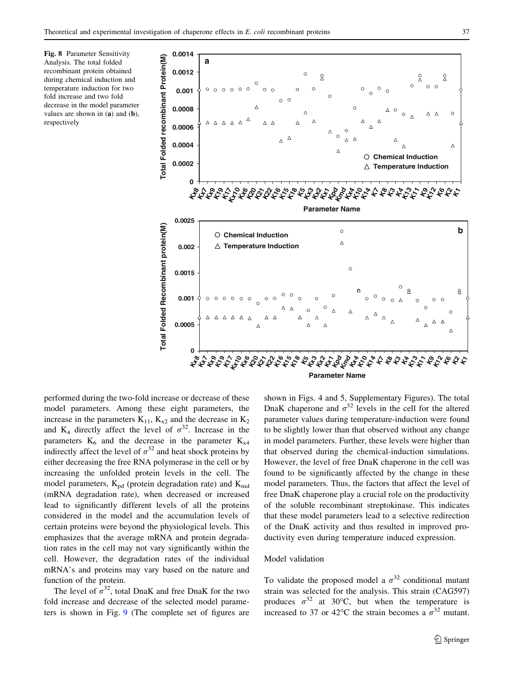<span id="page-10-0"></span>Fig. 8 Parameter Sensitivity Analysis. The total folded recombinant protein obtained during chemical induction and temperature induction for two fold increase and two fold decrease in the model parameter values are shown in (a) and (b), respectively



performed during the two-fold increase or decrease of these model parameters. Among these eight parameters, the increase in the parameters  $K_{11}$ ,  $K_{x2}$  and the decrease in  $K_2$ and K<sub>4</sub> directly affect the level of  $\sigma^{32}$ . Increase in the parameters  $K_6$  and the decrease in the parameter  $K_{x4}$ indirectly affect the level of  $\sigma^{32}$  and heat shock proteins by either decreasing the free RNA polymerase in the cell or by increasing the unfolded protein levels in the cell. The model parameters,  $K_{pd}$  (protein degradation rate) and  $K_{md}$ (mRNA degradation rate), when decreased or increased lead to significantly different levels of all the proteins considered in the model and the accumulation levels of certain proteins were beyond the physiological levels. This emphasizes that the average mRNA and protein degradation rates in the cell may not vary significantly within the cell. However, the degradation rates of the individual mRNA's and proteins may vary based on the nature and function of the protein.

The level of  $\sigma^{32}$ , total DnaK and free DnaK for the two fold increase and decrease of the selected model parameters is shown in Fig. [9](#page-11-0) (The complete set of figures are shown in Figs. 4 and 5, Supplementary Figures). The total DnaK chaperone and  $\sigma^{32}$  levels in the cell for the altered parameter values during temperature-induction were found to be slightly lower than that observed without any change in model parameters. Further, these levels were higher than that observed during the chemical-induction simulations. However, the level of free DnaK chaperone in the cell was found to be significantly affected by the change in these model parameters. Thus, the factors that affect the level of free DnaK chaperone play a crucial role on the productivity of the soluble recombinant streptokinase. This indicates that these model parameters lead to a selective redirection of the DnaK activity and thus resulted in improved productivity even during temperature induced expression.

## Model validation

To validate the proposed model a  $\sigma^{32}$  conditional mutant strain was selected for the analysis. This strain (CAG597) produces  $\sigma^{32}$  at 30°C, but when the temperature is increased to 37 or 42°C the strain becomes a  $\sigma^{32}$  mutant.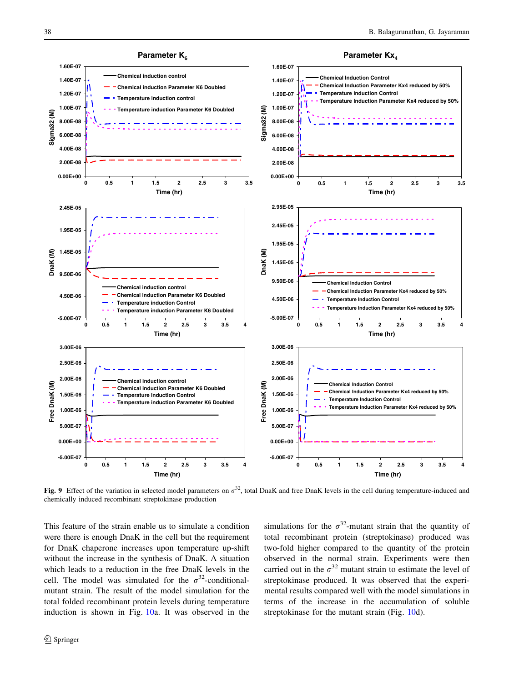<span id="page-11-0"></span>

Fig. 9 Effect of the variation in selected model parameters on  $\sigma^{32}$ , total DnaK and free DnaK levels in the cell during temperature-induced and chemically induced recombinant streptokinase production

This feature of the strain enable us to simulate a condition were there is enough DnaK in the cell but the requirement for DnaK chaperone increases upon temperature up-shift without the increase in the synthesis of DnaK. A situation which leads to a reduction in the free DnaK levels in the cell. The model was simulated for the  $\sigma^{32}$ -conditionalmutant strain. The result of the model simulation for the total folded recombinant protein levels during temperature induction is shown in Fig. [10a](#page-12-0). It was observed in the simulations for the  $\sigma^{32}$ -mutant strain that the quantity of total recombinant protein (streptokinase) produced was two-fold higher compared to the quantity of the protein observed in the normal strain. Experiments were then carried out in the  $\sigma^{32}$  mutant strain to estimate the level of streptokinase produced. It was observed that the experimental results compared well with the model simulations in terms of the increase in the accumulation of soluble streptokinase for the mutant strain (Fig. [10](#page-12-0)d).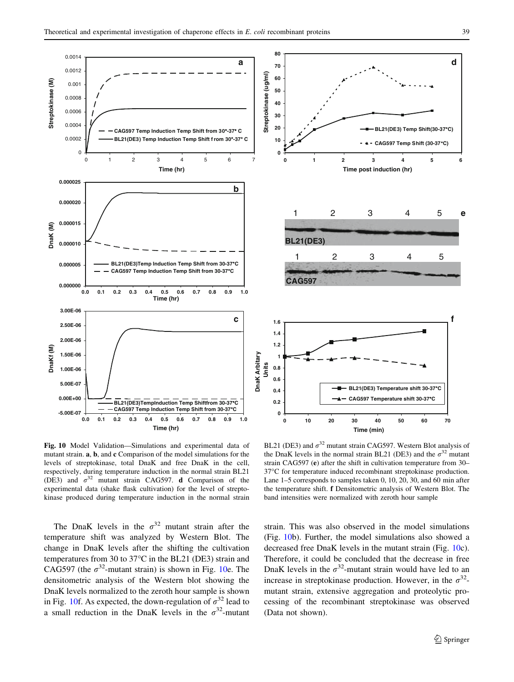**e**

**f**

**d**

**BL21(DE3) Temp Shift(30-37°C) CAG597 Temp Shift (30-37°C)**

<span id="page-12-0"></span>

Fig. 10 Model Validation—Simulations and experimental data of mutant strain. a, b, and c Comparison of the model simulations for the levels of streptokinase, total DnaK and free DnaK in the cell, respectively, during temperature induction in the normal strain BL21 (DE3) and  $\sigma^{32}$  mutant strain CAG597. d Comparison of the experimental data (shake flask cultivation) for the level of streptokinase produced during temperature induction in the normal strain

The DnaK levels in the  $\sigma^{32}$  mutant strain after the temperature shift was analyzed by Western Blot. The change in DnaK levels after the shifting the cultivation temperatures from 30 to  $37^{\circ}$ C in the BL21 (DE3) strain and CAG597 (the  $\sigma^{32}$ -mutant strain) is shown in Fig. 10e. The densitometric analysis of the Western blot showing the DnaK levels normalized to the zeroth hour sample is shown in Fig. 10f. As expected, the down-regulation of  $\sigma^{32}$  lead to a small reduction in the DnaK levels in the  $\sigma^{32}$ -mutant

BL21 (DE3) and  $\sigma^{32}$  mutant strain CAG597. Western Blot analysis of the DnaK levels in the normal strain BL21 (DE3) and the  $\sigma^{32}$  mutant strain CAG597 (e) after the shift in cultivation temperature from 30– 37°C for temperature induced recombinant streptokinase production. Lane 1–5 corresponds to samples taken 0, 10, 20, 30, and 60 min after the temperature shift. f Densitometric analysis of Western Blot. The band intensities were normalized with zeroth hour sample

strain. This was also observed in the model simulations (Fig. 10b). Further, the model simulations also showed a decreased free DnaK levels in the mutant strain (Fig. 10c). Therefore, it could be concluded that the decrease in free DnaK levels in the  $\sigma^{32}$ -mutant strain would have led to an increase in streptokinase production. However, in the  $\sigma^{32}$ mutant strain, extensive aggregation and proteolytic processing of the recombinant streptokinase was observed (Data not shown).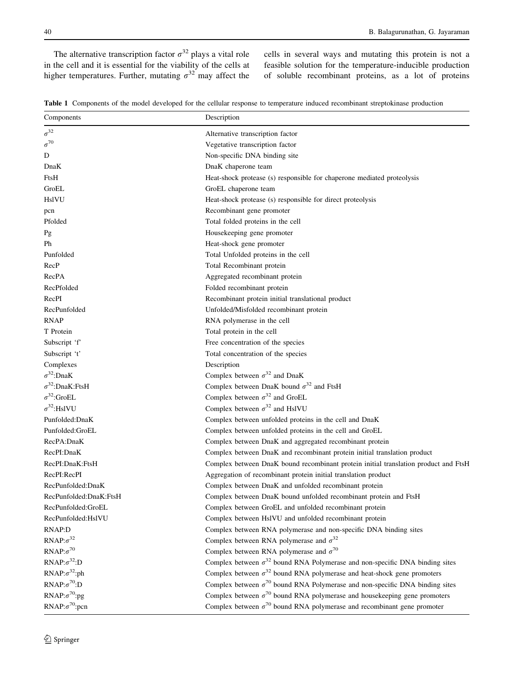<span id="page-13-0"></span>The alternative transcription factor  $\sigma^{32}$  plays a vital role in the cell and it is essential for the viability of the cells at higher temperatures. Further, mutating  $\sigma^{32}$  may affect the

cells in several ways and mutating this protein is not a feasible solution for the temperature-inducible production of soluble recombinant proteins, as a lot of proteins

Table 1 Components of the model developed for the cellular response to temperature induced recombinant streptokinase production

| Components               | Description                                                                           |
|--------------------------|---------------------------------------------------------------------------------------|
| $\sigma^{32}$            | Alternative transcription factor                                                      |
| $\sigma^{70}$            | Vegetative transcription factor                                                       |
| D                        | Non-specific DNA binding site                                                         |
| DnaK                     | DnaK chaperone team                                                                   |
| FtsH                     | Heat-shock protease (s) responsible for chaperone mediated proteolysis                |
| GroEL                    | GroEL chaperone team                                                                  |
| HslVU                    | Heat-shock protease (s) responsible for direct proteolysis                            |
| pcn                      | Recombinant gene promoter                                                             |
| Pfolded                  | Total folded proteins in the cell                                                     |
| Pg                       | Housekeeping gene promoter                                                            |
| Ph                       | Heat-shock gene promoter                                                              |
| Punfolded                | Total Unfolded proteins in the cell                                                   |
| RecP                     | Total Recombinant protein                                                             |
| RecPA                    | Aggregated recombinant protein                                                        |
| RecPfolded               | Folded recombinant protein                                                            |
| RecPI                    | Recombinant protein initial translational product                                     |
| RecPunfolded             | Unfolded/Misfolded recombinant protein                                                |
| <b>RNAP</b>              | RNA polymerase in the cell                                                            |
| T Protein                | Total protein in the cell                                                             |
| Subscript 'f'            | Free concentration of the species                                                     |
| Subscript 't'            | Total concentration of the species                                                    |
| Complexes                | Description                                                                           |
| $\sigma^{32}$ :DnaK      | Complex between $\sigma^{32}$ and DnaK                                                |
| $\sigma^{32}$ :DnaK:FtsH | Complex between DnaK bound $\sigma^{32}$ and FtsH                                     |
| $\sigma^{32}$ :GroEL     | Complex between $\sigma^{32}$ and GroEL                                               |
| $\sigma^{32}$ :HslVU     | Complex between $\sigma^{32}$ and HslVU                                               |
| Punfolded:DnaK           | Complex between unfolded proteins in the cell and DnaK                                |
| Punfolded:GroEL          | Complex between unfolded proteins in the cell and GroEL                               |
| RecPA:DnaK               | Complex between DnaK and aggregated recombinant protein                               |
| RecPI:DnaK               | Complex between DnaK and recombinant protein initial translation product              |
| RecPI:DnaK:FtsH          | Complex between DnaK bound recombinant protein initial translation product and FtsH   |
| RecPI:RecPI              | Aggregation of recombinant protein initial translation product                        |
| RecPunfolded:DnaK        | Complex between DnaK and unfolded recombinant protein                                 |
| RecPunfolded:DnaK:FtsH   | Complex between DnaK bound unfolded recombinant protein and FtsH                      |
| RecPunfolded:GroEL       | Complex between GroEL and unfolded recombinant protein                                |
| RecPunfolded:HslVU       | Complex between HslVU and unfolded recombinant protein                                |
| RNAP:D                   | Complex between RNA polymerase and non-specific DNA binding sites                     |
| RNAP: $\sigma^{32}$      | Complex between RNA polymerase and $\sigma^{32}$                                      |
| RNAP: $\sigma^{70}$      | Complex between RNA polymerase and $\sigma^{70}$                                      |
| RNAP: $\sigma^{32}$ :D   | Complex between $\sigma^{32}$ bound RNA Polymerase and non-specific DNA binding sites |
| RNAP: $\sigma^{32}$ :ph  | Complex between $\sigma^{32}$ bound RNA polymerase and heat-shock gene promoters      |
| RNAP: $\sigma^{70}$ :D   | Complex between $\sigma^{70}$ bound RNA Polymerase and non-specific DNA binding sites |
| RNAP: $\sigma^{70}$ :pg  | Complex between $\sigma^{70}$ bound RNA polymerase and housekeeping gene promoters    |
| RNAP: $\sigma^{70}$ :pcn | Complex between $\sigma^{70}$ bound RNA polymerase and recombinant gene promoter      |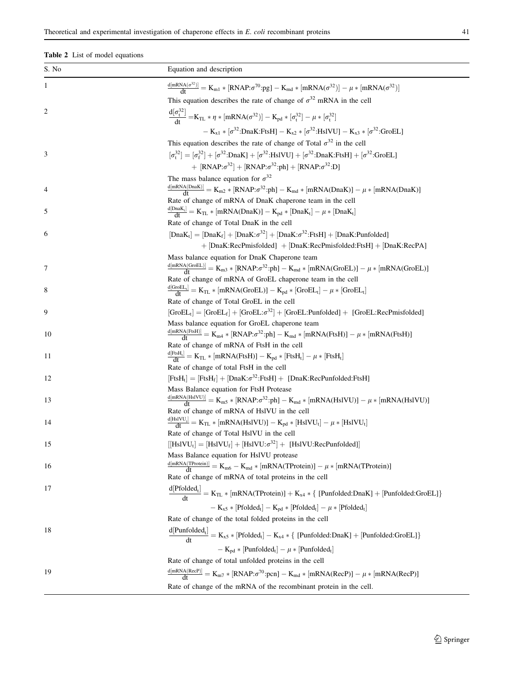# <span id="page-14-0"></span>Table 2 List of model equations

| S. No | Equation and description                                                                                                                                          |
|-------|-------------------------------------------------------------------------------------------------------------------------------------------------------------------|
| 1     | $\frac{d[mRNA(\sigma^{32})]}{dt} = K_{m1} * [RNAP:\sigma^{70}:\text{pg}] - K_{md} * [mRNA(\sigma^{32})] - \mu * [mRNA(\sigma^{32})]$                              |
|       | This equation describes the rate of change of $\sigma^{32}$ mRNA in the cell                                                                                      |
| 2     | $\frac{d[\sigma_t^{32}]}{dt} = K_{TL} * \eta * [mRNA(\sigma^{32})] - K_{pd} * [\sigma_t^{32}] - \mu * [\sigma_t^{32}]$                                            |
|       | $- K_{x1} * [\sigma^{32}:\text{DnaK:FtsH}] - K_{x2} * [\sigma^{32}:\text{HslVU}] - K_{x3} * [\sigma^{32}:\text{GroEL}]$                                           |
|       | This equation describes the rate of change of Total $\sigma^{32}$ in the cell                                                                                     |
| 3     | $[\sigma_t^{32}] = [\sigma_f^{32}] + [\sigma^{32}:\text{DnaK}] + [\sigma^{32}:\text{HslVU}] + [\sigma^{32}:\text{DnaK}:\text{FtsH}] + [\sigma^{32}:\text{GroEL}]$ |
|       | + $[RNAP:\sigma^{32}] + [RNAP:\sigma^{32}:\text{ph}] + [RNAP:\sigma^{32}:\text{D}]$                                                                               |
|       | The mass balance equation for $\sigma^{32}$                                                                                                                       |
| 4     | $\frac{\text{d}[mRNA(DnaK)]}{\text{d}t} = K_{m2} * [RNAP:\sigma^{32}:\text{ph}] - K_{md} * [mRNA(DnaK)] - \mu * [mRNA(DnaK)]$                                     |
|       | Rate of change of mRNA of DnaK chaperone team in the cell                                                                                                         |
| 5     | $\frac{d Dn a K_t }{dt} = K_{TL} * [mRNA(Dn a K)] - K_{pd} * [Dn a K_t] - \mu * [Dn a K_t]$                                                                       |
|       | Rate of change of Total DnaK in the cell                                                                                                                          |
| 6     | $[DanK_t] = [DanK_f] + [DanK:\sigma^{32}] + [DanK:\sigma^{32}:FtsH] + [DanK:Punfolded]$                                                                           |
|       | + [DnaK:RecPmisfolded] + [DnaK:RecPmisfolded:FtsH] + [DnaK:RecPA]                                                                                                 |
|       | Mass balance equation for DnaK Chaperone team                                                                                                                     |
| 7     | $\frac{d[mRNA(GroEL)]}{dt} = K_{m3} * [RNAP:\sigma^{32}:\text{ph}] - K_{md} * [mRNA(GroEL)] - \mu * [mRNA(GroEL)]$                                                |
|       | Rate of change of mRNA of GroEL chaperone team in the cell                                                                                                        |
| 8     | $\frac{d[GroEL_t]}{dt} = K_{TL} * [mRNA(GroEL)] - K_{pd} * [GroEL_t] - \mu * [GroEL_t]$                                                                           |
|       | Rate of change of Total GroEL in the cell                                                                                                                         |
| 9     | $[GroEL_t] = [GroEL_t] + [GroEL: \sigma^{32}] + [GroEL:Punfolded] + [GroEL:RecPmisfolded]$                                                                        |
| 10    | Mass balance equation for GroEL chaperone team<br>$\frac{d[mRNA(FtsH)]}{dt} = K_{m4} * [RNAP:\sigma^{32}:\text{ph}] - K_{md} * [mRNA(FtsH)] - \mu * [mRNA(FtsH)]$ |
|       | Rate of change of mRNA of FtsH in the cell                                                                                                                        |
| 11    | $\frac{d[FtsH_t]}{dt} = K_{TL} * [mRNA(FtsH)] - K_{pd} * [FtsH_t] - \mu * [FtsH_t]$                                                                               |
|       | Rate of change of total FtsH in the cell                                                                                                                          |
| 12    | $[{\rm FtsH}_t] = [{\rm FtsH}_f] + [{\rm DnaK}:\sigma^{32}\cdot{\rm FtsH}] + [{\rm DnaK}:\rm RecPunfolded\cdot{\rm FtsH}]$                                        |
|       | Mass Balance equation for FtsH Protease                                                                                                                           |
| 13    | $\tfrac{d[\text{mRNA(HsIVU)}]}{dt}=K_{m5}*[RNAP:\sigma^{32}:ph]-K_{md}*[mRNA(HsIVU)]-\mu*[mRNA(HsIVU)]$                                                           |
|       | Rate of change of mRNA of HslVU in the cell                                                                                                                       |
| 14    | $\frac{d[\text{Hs}]}{dt} = K_{TL} * [\text{mRNA(Hs}]}) - K_{pd} * [Hs}V] - \mu * [Hs}V]$                                                                          |
|       | Rate of change of Total HslVU in the cell                                                                                                                         |
| 15    | $[[HsIVU_t] = [HsIVU_f] + [HsIVU:\sigma^{32}] + [HsIVU:RecPunfolded]]$                                                                                            |
|       | Mass Balance equation for HslVU protease                                                                                                                          |
| 16    | $\frac{\text{d}[mRNA(TProtein)]}{\text{d}t} = K_{m6} - K_{md} * [mRNA(TProtein)] - \mu * [mRNA(TProtein)]$                                                        |
|       | Rate of change of mRNA of total proteins in the cell                                                                                                              |
| 17    | $\frac{d[Pfolded_t]}{dt} = K_{TL} * [mRNA(TProtein)] + K_{x4} * \{ [Punfolded:DnaK] + [Punfolded:GroEL] \}$                                                       |
|       | $- K_{x5} * [Pfolded_t] - K_{pd} * [Pfolded_t] - \mu * [Pfolded_t]$                                                                                               |
|       | Rate of change of the total folded proteins in the cell                                                                                                           |
| 18    | $\frac{d[Punfolded_t]}{dt} = K_{x5} * [Pfolded_t] - K_{x4} * \{ [Punfolded:DnaK] + [Punfolded:GroEL] \}$                                                          |
|       | $- K_{pd} * [Punfolded_t] - \mu * [Punfolded_t]$                                                                                                                  |
|       | Rate of change of total unfolded proteins in the cell                                                                                                             |
| 19    | $\frac{d[mRNA(RecP)]}{dt} = K_{m7} * [RNAP:\sigma^{70}:pcn] - K_{md} * [mRNA(RecP)] - \mu * [mRNA(RecP)]$                                                         |
|       | Rate of change of the mRNA of the recombinant protein in the cell.                                                                                                |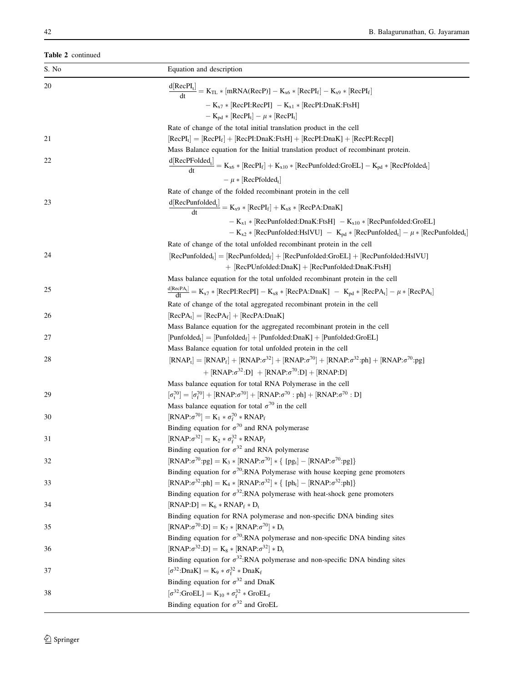|    | Equation and description                                                                                                                                        |
|----|-----------------------------------------------------------------------------------------------------------------------------------------------------------------|
| 20 | $\frac{d[RecPI_t]}{dt} = K_{TL} * [mRNA(RecP)] - K_{x6} * [RecPI_f] - K_{x9} * [RecPI_f]$                                                                       |
|    | $- K_{x7} * [RecPI:RecPI] - K_{x1} * [RecPI:DnaK:FtsH]$                                                                                                         |
|    |                                                                                                                                                                 |
|    | $-K_{\rm pd} * [\rm RecPI_t] - \mu * [\rm RecPI_t]$                                                                                                             |
|    | Rate of change of the total initial translation product in the cell                                                                                             |
| 21 | $[RecPI_t] = [RecPI_f] + [RecPI:DnaK:FtsH] + [RecPI:DnaK] + [RecPI:RecPI]$<br>Mass Balance equation for the Initial translation product of recombinant protein. |
| 22 |                                                                                                                                                                 |
|    | $\frac{d[RecPFolded_t]}{dt} = K_{x6} * [RecPI_f] + K_{x10} * [RecPunfolded:GroEL] - K_{pd} * [RecPfolded_t]$                                                    |
|    | $-\mu$ * [RecPfolded <sub>t</sub> ]                                                                                                                             |
|    | Rate of change of the folded recombinant protein in the cell                                                                                                    |
| 23 | $\frac{d[RecPunfolded_t]}{dt} = K_{x9} * [RecPI_f] + K_{x8} * [RecPA:DnaK]$                                                                                     |
|    | $- K_{x1} * [RecPunfolded: DnaK:FtsH] - K_{x10} * [RecPunfolded: GroEL]$                                                                                        |
|    | $- K_{x2} * [RecPunfolded: HslVU] - K_{pd} * [RecPunfolded_t] - \mu * [RecPunfolded_t]$                                                                         |
|    | Rate of change of the total unfolded recombinant protein in the cell                                                                                            |
| 24 | $[RecPunfolded_t] = [RecPunfolded_f] + [RecPunfolded:GroEL] + [RecPunfolded:HslVU]$                                                                             |
|    | + [RecPUnfolded:DnaK] + [RecPunfolded:DnaK:FtsH]                                                                                                                |
|    | Mass balance equation for the total unfolded recombinant protein in the cell                                                                                    |
| 25 | $\frac{d[\text{RecPA}_t]}{dt} = K_{x7} * [\text{RecPI:RecPI}] - K_{x8} * [\text{RecPA:DnaK}] - K_{pd} * [\text{RecPA}_t] - \mu * [\text{RecPA}_t]$              |
|    | Rate of change of the total aggregated recombinant protein in the cell                                                                                          |
| 26 | $[RecPA_t] = [RecPA_f] + [RecPA:DnaK]$                                                                                                                          |
|    | Mass Balance equation for the aggregated recombinant protein in the cell                                                                                        |
| 27 | $[Punfolded_t] = [Punfolded_f] + [Punfolded:DnaK] + [Punfolded:GroEL]$                                                                                          |
|    | Mass Balance equation for total unfolded protein in the cell                                                                                                    |
| 28 | $[RNAP_t] = [RNAP_f] + [RNAP:\sigma^{32}] + [RNAP:\sigma^{70}] + [RNAP:\sigma^{32}:\text{ph}] + [RNAP:\sigma^{70}:\text{pg}]$                                   |
|    | + $[RNAP:\sigma^{32}:D]$ + $[RNAP:\sigma^{70}:D]$ + $[RNAP:D]$                                                                                                  |
|    | Mass balance equation for total RNA Polymerase in the cell                                                                                                      |
| 29 | $[\sigma_t^{70}] = [\sigma_f^{70}] + [RNAP:\sigma^{70}] + [RNAP:\sigma^{70} : ph] + [RNAP:\sigma^{70} : D]$                                                     |
|    | Mass balance equation for total $\sigma^{70}$ in the cell                                                                                                       |
| 30 | $[\text{RNAP:}\sigma^{70}] = \text{K}_1 * \sigma_f^{70} * \text{RNAP}_f$                                                                                        |
|    | Binding equation for $\sigma^{70}$ and RNA polymerase                                                                                                           |
| 31 | $[RNAP:\sigma^{32}] = K_2 * \sigma_f^{32} * RNAP_f$                                                                                                             |
|    | Binding equation for $\sigma^{32}$ and RNA polymerase                                                                                                           |
| 32 | $[RNAP:\sigma^{70}:\text{pg}] = K_3 * [RNAP:\sigma^{70}] * \{ [pg_t] - [RNAP:\sigma^{70}:\text{pg}] \}$                                                         |
|    | Binding equation for $\sigma^{70}$ : RNA Polymerase with house keeping gene promoters                                                                           |
| 33 | $[RNAP:\sigma^{32}:\text{ph}] = K_4 * [RNAP:\sigma^{32}] * \{ [ph_t] - [RNAP:\sigma^{32}:\text{ph}] \}$                                                         |
|    | Binding equation for $\sigma^{32}$ : RNA polymerase with heat-shock gene promoters                                                                              |
| 34 | $[RNAP:D] = K_6 * RNAP_f * D_t$                                                                                                                                 |
|    | Binding equation for RNA polymerase and non-specific DNA binding sites                                                                                          |
| 35 | $[RNAP:\sigma^{70}:D] = K_7 * [RNAP:\sigma^{70}] * D_t$                                                                                                         |
|    | Binding equation for $\sigma^{70}$ : RNA polymerase and non-specific DNA binding sites                                                                          |
| 36 | $[RNAP:\sigma^{32}:D] = K_8 * [RNAP:\sigma^{32}] * D_t$                                                                                                         |
|    | Binding equation for $\sigma^{32}$ : RNA polymerase and non-specific DNA binding sites                                                                          |
| 37 | $[\sigma^{32}:DnaK] = K_9 * \sigma_f^{32} * DnaK_f$                                                                                                             |
|    | Binding equation for $\sigma^{32}$ and DnaK                                                                                                                     |
| 38 | $[\sigma^{32}:\text{GroEL}] = K_{10} * \sigma_f^{32} * \text{GroEL}_f$                                                                                          |
|    | Binding equation for $\sigma^{32}$ and GroEL                                                                                                                    |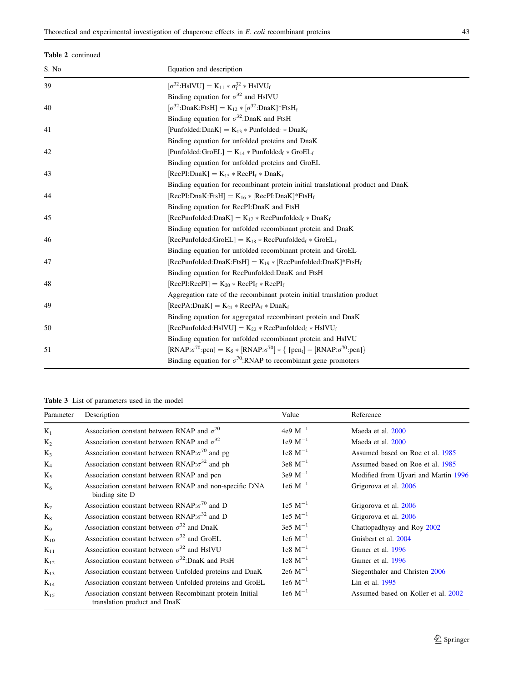## <span id="page-16-0"></span>Table 2 continued

| S. No | Equation and description                                                                                   |
|-------|------------------------------------------------------------------------------------------------------------|
| 39    | $[\sigma^{32}:HslVU] = K_{11} * \sigma_f^{32} * HslVU_f$                                                   |
|       | Binding equation for $\sigma^{32}$ and HslVU                                                               |
| 40    | $[\sigma^{32}:$ DnaK:FtsH] = K <sub>12</sub> * $[\sigma^{32}:$ DnaK]*FtsH <sub>f</sub>                     |
|       | Binding equation for $\sigma^{32}$ : DnaK and FtsH                                                         |
| 41    | $[Punfolded:DnaK] = K_{13} * Punfolded_f * DnaK_f$                                                         |
|       | Binding equation for unfolded proteins and DnaK                                                            |
| 42    | $[Punfolded:GroEL] = K_{14} * Punfolded_f * GroEL_f$                                                       |
|       | Binding equation for unfolded proteins and GroEL                                                           |
| 43    | $[RecPI:DnaK] = K_{15} * RecPI_f * DnaK_f$                                                                 |
|       | Binding equation for recombinant protein initial translational product and DnaK                            |
| 44    | $[RecPI:DnaK:FtsH] = K_{16} * [RecPI:DnaK]*FtsH_f$                                                         |
|       | Binding equation for RecPI:DnaK and FtsH                                                                   |
| 45    | $[RecPunfolded:DnaK] = K_{17} * RecPunfolded_f * DnaK_f$                                                   |
|       | Binding equation for unfolded recombinant protein and DnaK                                                 |
| 46    | $[RecPunfolded:GroEL] = K_{18} * RecPunfolded_f * GroEL_f$                                                 |
|       | Binding equation for unfolded recombinant protein and GroEL                                                |
| 47    | $[RecPunfolded:DnaK:FtsH] = K_{19} * [RecPunfolded:DnaK]*FtsH_f$                                           |
|       | Binding equation for RecPunfolded: DnaK and FtsH                                                           |
| 48    | $[RecPI:RecPI] = K_{20} * RecPI_f * RecPI_f$                                                               |
|       | Aggregation rate of the recombinant protein initial translation product                                    |
| 49    | $[RecPA:DnaK] = K_{21} * RecPA_f * DnaK_f$                                                                 |
|       | Binding equation for aggregated recombinant protein and DnaK                                               |
| 50    | $[RecPunfolded:HslVU] = K_{22} * RecPunfolded_f * HslVU_f$                                                 |
|       | Binding equation for unfolded recombinant protein and HslVU                                                |
| 51    | $[RNAP:\sigma^{70}:\text{pcn}] = K_5 * [RNAP:\sigma^{70}] * \{ [pcn_t] - [RNAP:\sigma^{70}:\text{pcn}] \}$ |
|       | Binding equation for $\sigma^{70}$ : RNAP to recombinant gene promoters                                    |

Table 3 List of parameters used in the model

| Parameter      | Description                                                                              | Value                | Reference                            |
|----------------|------------------------------------------------------------------------------------------|----------------------|--------------------------------------|
| $K_1$          | Association constant between RNAP and $\sigma^{70}$                                      | 4e9 $M^{-1}$         | Maeda et al. 2000                    |
| $K_2$          | Association constant between RNAP and $\sigma^{32}$                                      | $1e9 M^{-1}$         | Maeda et al. 2000                    |
| $K_3$          | Association constant between RNAP: $\sigma^{70}$ and pg                                  | $1e8 \, M^{-1}$      | Assumed based on Roe et al. 1985     |
| $K_4$          | Association constant between $\text{RNAP:}\sigma^{32}$ and ph                            | $3e8 M^{-1}$         | Assumed based on Roe et al. 1985     |
| $K_5$          | Association constant between RNAP and pcn                                                | $3e9 M^{-1}$         | Modified from Ujvari and Martin 1996 |
| $K_6$          | Association constant between RNAP and non-specific DNA<br>binding site D                 | 1e6 $M^{-1}$         | Grigorova et al. 2006                |
| K <sub>7</sub> | Association constant between $RNAP:\sigma^{70}$ and D                                    | $1e5 M^{-1}$         | Grigorova et al. 2006                |
| $K_8$          | Association constant between RNAP: $\sigma^{32}$ and D                                   | $1e5 \text{ M}^{-1}$ | Grigorova et al. 2006                |
| $K_9$          | Association constant between $\sigma^{32}$ and DnaK                                      | $3e5 M^{-1}$         | Chattopadhyay and Roy 2002           |
| $K_{10}$       | Association constant between $\sigma^{32}$ and GroEL                                     | $1e6 M^{-1}$         | Guisbert et al. 2004                 |
| $K_{11}$       | Association constant between $\sigma^{32}$ and HsIVU                                     | $1e8 \text{ M}^{-1}$ | Gamer et al. 1996                    |
| $K_{12}$       | Association constant between $\sigma^{32}$ :DnaK and FtsH                                | $1e8 \, M^{-1}$      | Gamer et al. 1996                    |
| $K_{13}$       | Association constant between Unfolded proteins and DnaK                                  | $2e6 M^{-1}$         | Siegenthaler and Christen 2006       |
| $K_{14}$       | Association constant between Unfolded proteins and GroEL                                 | $1e6 M^{-1}$         | Lin et al. 1995                      |
| $K_{15}$       | Association constant between Recombinant protein Initial<br>translation product and DnaK | $1e6 M^{-1}$         | Assumed based on Koller et al. 2002  |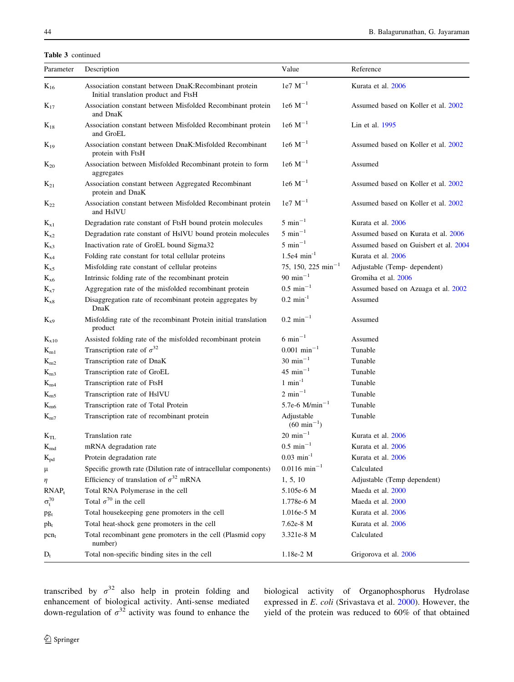## Table 3 continued

| Parameter                  | Description                                                                                   | Value                                 | Reference                             |
|----------------------------|-----------------------------------------------------------------------------------------------|---------------------------------------|---------------------------------------|
| $\mathrm{K}_{16}$          | Association constant between DnaK:Recombinant protein<br>Initial translation product and FtsH | $1e7 \text{ M}^{-1}$                  | Kurata et al. 2006                    |
| $K_{17}$                   | Association constant between Misfolded Recombinant protein<br>and DnaK                        | $1e6 M^{-1}$                          | Assumed based on Koller et al. 2002   |
| $K_{18}$                   | Association constant between Misfolded Recombinant protein<br>and GroEL                       | $1e6 M^{-1}$                          | Lin et al. 1995                       |
| $K_{19}$                   | Association constant between DnaK: Misfolded Recombinant<br>protein with FtsH                 | $1e6 M^{-1}$                          | Assumed based on Koller et al. 2002   |
| $K_{20}$                   | Association between Misfolded Recombinant protein to form<br>aggregates                       | $1e6 M^{-1}$                          | Assumed                               |
| $K_{21}$                   | Association constant between Aggregated Recombinant<br>protein and DnaK                       | $1e6 M^{-1}$                          | Assumed based on Koller et al. 2002   |
| $\rm K_{22}$               | Association constant between Misfolded Recombinant protein<br>and HslVU                       | $1e7 \text{ M}^{-1}$                  | Assumed based on Koller et al. 2002   |
| $K_{x1}$                   | Degradation rate constant of FtsH bound protein molecules                                     | $5 \text{ min}^{-1}$                  | Kurata et al. 2006                    |
| $K_{x2}$                   | Degradation rate constant of HsIVU bound protein molecules                                    | $5 \text{ min}^{-1}$                  | Assumed based on Kurata et al. 2006   |
| $\rm K_{x3}$               | Inactivation rate of GroEL bound Sigma32                                                      | $5 \text{ min}^{-1}$                  | Assumed based on Guisbert et al. 2004 |
| $K_{x4}$                   | Folding rate constant for total cellular proteins                                             | $1.5e4 \text{ min}^{-1}$              | Kurata et al. 2006                    |
| $K_{x5}$                   | Misfolding rate constant of cellular proteins                                                 | 75, 150, 225 min <sup>-1</sup>        | Adjustable (Temp- dependent)          |
| $K_{\rm x6}$               | Intrinsic folding rate of the recombinant protein                                             | 90 min <sup><math>-1</math></sup>     | Gromiha et al. 2006                   |
| $K_{x7}$                   | Aggregation rate of the misfolded recombinant protein                                         | $0.5 \text{ min}^{-1}$                | Assumed based on Azuaga et al. 2002   |
| $K_{x8}$                   | Disaggregation rate of recombinant protein aggregates by<br>DnaK                              | $0.2 \text{ min}^{-1}$                | Assumed                               |
| $K_{x9}$                   | Misfolding rate of the recombinant Protein initial translation<br>product                     | $0.2 \text{ min}^{-1}$                | Assumed                               |
| $K_{x10}$                  | Assisted folding rate of the misfolded recombinant protein                                    | $6 \text{ min}^{-1}$                  | Assumed                               |
| $K_{m1}$                   | Transcription rate of $\sigma^{32}$                                                           | $0.001$ min <sup>-1</sup>             | Tunable                               |
| $K_{m2}$                   | Transcription rate of DnaK                                                                    | $30 \text{ min}^{-1}$                 | Tunable                               |
| $K_{m3}$                   | Transcription rate of GroEL                                                                   | $45 \text{ min}^{-1}$                 | Tunable                               |
| $K_{m4}$                   | Transcription rate of FtsH                                                                    | $1$ min <sup>-1</sup>                 | Tunable                               |
| $\mathrm{K}_{\mathrm{m5}}$ | Transcription rate of HslVU                                                                   | $2 \text{ min}^{-1}$                  | Tunable                               |
| $\mathrm{K}_{\mathrm{m6}}$ | Transcription rate of Total Protein                                                           | 5.7e-6 $M/min^{-1}$                   | Tunable                               |
| $K_{m7}$                   | Transcription rate of recombinant protein                                                     | Adjustable<br>$(60 \text{ min}^{-1})$ | Tunable                               |
| $K_{TL}$                   | Translation rate                                                                              | $20\ {\rm min}^{-1}$                  | Kurata et al. 2006                    |
| $K_{\rm md}$               | mRNA degradation rate                                                                         | $0.5\,\,\mathrm{min}^{-1}$            | Kurata et al. 2006                    |
| $K_{pd}$                   | Protein degradation rate                                                                      | $0.03 \text{ min}^{-1}$               | Kurata et al. 2006                    |
| μ                          | Specific growth rate (Dilution rate of intracellular components)                              | $0.0116$ min <sup>-1</sup>            | Calculated                            |
| η                          | Efficiency of translation of $\sigma^{32}$ mRNA                                               | 1, 5, 10                              | Adjustable (Temp dependent)           |
| $RNAP_t$                   | Total RNA Polymerase in the cell                                                              | 5.105e-6 M                            | Maeda et al. 2000                     |
| $\sigma_t^{70}$            | Total $\sigma^{70}$ in the cell                                                               | 1.778e-6 M                            | Maeda et al. 2000                     |
| pgt                        | Total housekeeping gene promoters in the cell                                                 | $1.016e-5$ M                          | Kurata et al. 2006                    |
| $ph_t$                     | Total heat-shock gene promoters in the cell                                                   | 7.62e-8 M                             | Kurata et al. 2006                    |
| $pen_t$                    | Total recombinant gene promoters in the cell (Plasmid copy<br>number)                         | 3.321e-8 M                            | Calculated                            |
| $D_t$                      | Total non-specific binding sites in the cell                                                  | 1.18e-2 M                             | Grigorova et al. 2006                 |

transcribed by  $\sigma^{32}$  also help in protein folding and enhancement of biological activity. Anti-sense mediated down-regulation of  $\sigma^{32}$  activity was found to enhance the

biological activity of Organophosphorus Hydrolase expressed in E. coli (Srivastava et al. [2000\)](#page-21-0). However, the yield of the protein was reduced to 60% of that obtained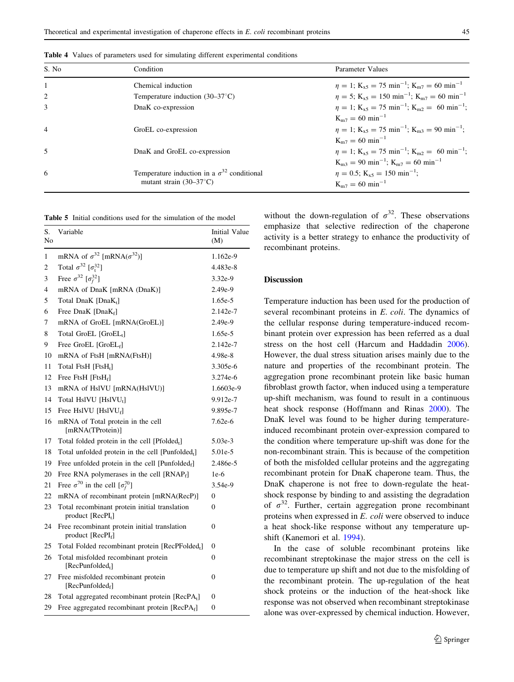| S. No          | Condition                                            | Parameter Values                                                                               |
|----------------|------------------------------------------------------|------------------------------------------------------------------------------------------------|
|                | Chemical induction                                   | $\eta = 1$ ; K <sub>x5</sub> = 75 min <sup>-1</sup> ; K <sub>m7</sub> = 60 min <sup>-1</sup>   |
|                | Temperature induction $(30-37^{\circ}C)$             | $\eta = 5$ ; K <sub>x5</sub> = 150 min <sup>-1</sup> ; K <sub>m7</sub> = 60 min <sup>-1</sup>  |
| 3              | DnaK co-expression                                   | $\eta = 1$ ; K <sub>x5</sub> = 75 min <sup>-1</sup> ; K <sub>m2</sub> = 60 min <sup>-1</sup> ; |
|                |                                                      | $K_{m7} = 60$ min <sup>-1</sup>                                                                |
| $\overline{4}$ | GroEL co-expression                                  | $\eta = 1$ ; K <sub>x5</sub> = 75 min <sup>-1</sup> ; K <sub>m3</sub> = 90 min <sup>-1</sup> ; |
|                |                                                      | $K_{m7} = 60$ min <sup>-1</sup>                                                                |
| 5              | DnaK and GroEL co-expression                         | $\eta = 1$ ; K <sub>x5</sub> = 75 min <sup>-1</sup> ; K <sub>m2</sub> = 60 min <sup>-1</sup> ; |
|                |                                                      | $K_{m3} = 90$ min <sup>-1</sup> ; $K_{m7} = 60$ min <sup>-1</sup>                              |
| 6              | Temperature induction in a $\sigma^{32}$ conditional | $\eta = 0.5$ ; K <sub>x5</sub> = 150 min <sup>-1</sup> ;                                       |
|                | mutant strain $(30-37^{\circ}C)$                     | $K_{m7} = 60$ min <sup>-1</sup>                                                                |

<span id="page-18-0"></span>Table 4 Values of parameters used for simulating different experimental conditions

Table 5 Initial conditions used for the simulation of the model

| S.<br>No | Variable                                                                       | <b>Initial Value</b><br>(M) |
|----------|--------------------------------------------------------------------------------|-----------------------------|
| 1        | mRNA of $\sigma^{32}$ [mRNA( $\sigma^{32}$ )]                                  | 1.162e-9                    |
| 2        | Total $\sigma^{32}$ [ $\sigma^{32}$ ]                                          | 4.483e-8                    |
| 3        | Free $\sigma^{32}$ [ $\sigma_f^{32}$ ]                                         | $3.32e-9$                   |
| 4        | mRNA of DnaK [mRNA (DnaK)]                                                     | 2.49e-9                     |
| 5        | Total DnaK [DnaK <sub>t</sub> ]                                                | 1.65e-5                     |
| 6        | Free DnaK [ $Dn a K_f$ ]                                                       | 2.142e-7                    |
| 7        | mRNA of GroEL [mRNA(GroEL)]                                                    | 2.49e-9                     |
| 8        | Total GroEL [GroEL <sub>1</sub> ]                                              | 1.65e-5                     |
| 9        | Free GroEL $[GroEL_f]$                                                         | 2.142e-7                    |
| 10       | mRNA of FtsH [mRNA(FtsH)]                                                      | 4.98e-8                     |
| 11       | Total FtsH [FtsH <sub>t</sub> ]                                                | 3.305e-6                    |
| 12       | Free FtsH [FtsH $_f$ ]                                                         | 3.274e-6                    |
| 13       | mRNA of HslVU [mRNA(HslVU)]                                                    | 1.6603e-9                   |
| 14       | Total HslVU [HslVU <sub>1</sub> ]                                              | 9.912e-7                    |
| 15       | Free HslVU [HslVU $_f$ ]                                                       | 9.895e-7                    |
| 16       | mRNA of Total protein in the cell<br>[mRNA(TProtein)]                          | 7.62e-6                     |
| 17       | Total folded protein in the cell [Pfolded <sub>t</sub> ]                       | 5.03e-3                     |
| 18       | Total unfolded protein in the cell $[Punfolded_t]$                             | 5.01e-5                     |
| 19       | Free unfolded protein in the cell [Punfolded $_f$ ]                            | 2.486e-5                    |
| 20       | Free RNA polymerases in the cell [RNAP <sub>f</sub> ]                          | $1e-6$                      |
| 21       | Free $\sigma^{70}$ in the cell $[\sigma_f^{70}]$                               | $3.54e-9$                   |
| 22       | mRNA of recombinant protein [mRNA(RecP)]                                       | $\theta$                    |
| 23       | Total recombinant protein initial translation<br>product [RecPI <sub>t</sub> ] | 0                           |
| 24       | Free recombinant protein initial translation<br>product $[RecPIf]$             | 0                           |
| 25       | Total Folded recombinant protein [RecPFolded <sub>t</sub> ]                    | 0                           |
| 26       | Total misfolded recombinant protein<br>[RecPunfolded <sub>t</sub> ]            | 0                           |
| 27       | Free misfolded recombinant protein<br>[ $RecP$ unfolded $_f$ ]                 | 0                           |
| 28       | Total aggregated recombinant protein [RecPA <sub>t</sub> ]                     | 0                           |
| 29       | Free aggregated recombinant protein [RecPAf]                                   | 0                           |

without the down-regulation of  $\sigma^{32}$ . These observations emphasize that selective redirection of the chaperone activity is a better strategy to enhance the productivity of recombinant proteins.

## Discussion

Temperature induction has been used for the production of several recombinant proteins in E. coli. The dynamics of the cellular response during temperature-induced recombinant protein over expression has been referred as a dual stress on the host cell (Harcum and Haddadin [2006](#page-20-0)). However, the dual stress situation arises mainly due to the nature and properties of the recombinant protein. The aggregation prone recombinant protein like basic human fibroblast growth factor, when induced using a temperature up-shift mechanism, was found to result in a continuous heat shock response (Hoffmann and Rinas [2000](#page-20-0)). The DnaK level was found to be higher during temperatureinduced recombinant protein over-expression compared to the condition where temperature up-shift was done for the non-recombinant strain. This is because of the competition of both the misfolded cellular proteins and the aggregating recombinant protein for DnaK chaperone team. Thus, the DnaK chaperone is not free to down-regulate the heatshock response by binding to and assisting the degradation of  $\sigma^{32}$ . Further, certain aggregation prone recombinant proteins when expressed in E. coli were observed to induce a heat shock-like response without any temperature upshift (Kanemori et al. [1994\)](#page-20-0).

In the case of soluble recombinant proteins like recombinant streptokinase the major stress on the cell is due to temperature up shift and not due to the misfolding of the recombinant protein. The up-regulation of the heat shock proteins or the induction of the heat-shock like response was not observed when recombinant streptokinase alone was over-expressed by chemical induction. However,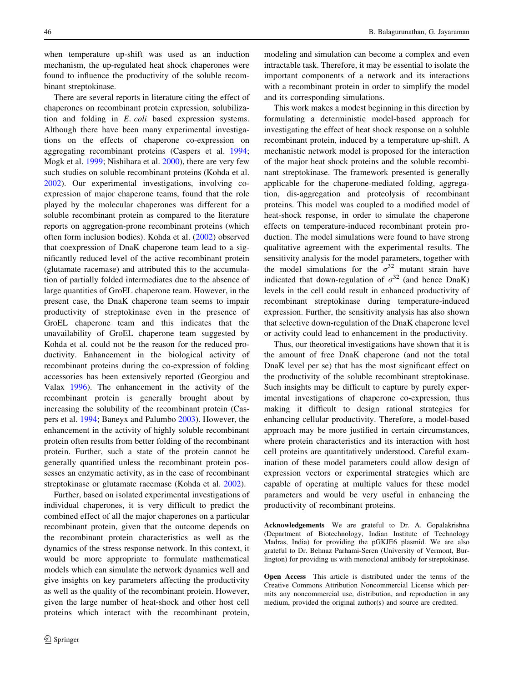when temperature up-shift was used as an induction mechanism, the up-regulated heat shock chaperones were found to influence the productivity of the soluble recombinant streptokinase.

There are several reports in literature citing the effect of chaperones on recombinant protein expression, solubilization and folding in E. coli based expression systems. Although there have been many experimental investigations on the effects of chaperone co-expression on aggregating recombinant proteins (Caspers et al. [1994](#page-20-0); Mogk et al. [1999](#page-20-0); Nishihara et al. [2000](#page-20-0)), there are very few such studies on soluble recombinant proteins (Kohda et al. [2002\)](#page-20-0). Our experimental investigations, involving coexpression of major chaperone teams, found that the role played by the molecular chaperones was different for a soluble recombinant protein as compared to the literature reports on aggregation-prone recombinant proteins (which often form inclusion bodies). Kohda et al. ([2002\)](#page-20-0) observed that coexpression of DnaK chaperone team lead to a significantly reduced level of the active recombinant protein (glutamate racemase) and attributed this to the accumulation of partially folded intermediates due to the absence of large quantities of GroEL chaperone team. However, in the present case, the DnaK chaperone team seems to impair productivity of streptokinase even in the presence of GroEL chaperone team and this indicates that the unavailability of GroEL chaperone team suggested by Kohda et al. could not be the reason for the reduced productivity. Enhancement in the biological activity of recombinant proteins during the co-expression of folding accessories has been extensively reported (Georgiou and Valax [1996](#page-20-0)). The enhancement in the activity of the recombinant protein is generally brought about by increasing the solubility of the recombinant protein (Caspers et al. [1994;](#page-20-0) Baneyx and Palumbo [2003\)](#page-20-0). However, the enhancement in the activity of highly soluble recombinant protein often results from better folding of the recombinant protein. Further, such a state of the protein cannot be generally quantified unless the recombinant protein possesses an enzymatic activity, as in the case of recombinant streptokinase or glutamate racemase (Kohda et al. [2002](#page-20-0)).

Further, based on isolated experimental investigations of individual chaperones, it is very difficult to predict the combined effect of all the major chaperones on a particular recombinant protein, given that the outcome depends on the recombinant protein characteristics as well as the dynamics of the stress response network. In this context, it would be more appropriate to formulate mathematical models which can simulate the network dynamics well and give insights on key parameters affecting the productivity as well as the quality of the recombinant protein. However, given the large number of heat-shock and other host cell proteins which interact with the recombinant protein,

modeling and simulation can become a complex and even intractable task. Therefore, it may be essential to isolate the important components of a network and its interactions with a recombinant protein in order to simplify the model and its corresponding simulations.

This work makes a modest beginning in this direction by formulating a deterministic model-based approach for investigating the effect of heat shock response on a soluble recombinant protein, induced by a temperature up-shift. A mechanistic network model is proposed for the interaction of the major heat shock proteins and the soluble recombinant streptokinase. The framework presented is generally applicable for the chaperone-mediated folding, aggregation, dis-aggregation and proteolysis of recombinant proteins. This model was coupled to a modified model of heat-shock response, in order to simulate the chaperone effects on temperature-induced recombinant protein production. The model simulations were found to have strong qualitative agreement with the experimental results. The sensitivity analysis for the model parameters, together with the model simulations for the  $\sigma^{32}$  mutant strain have indicated that down-regulation of  $\sigma^{32}$  (and hence DnaK) levels in the cell could result in enhanced productivity of recombinant streptokinase during temperature-induced expression. Further, the sensitivity analysis has also shown that selective down-regulation of the DnaK chaperone level or activity could lead to enhancement in the productivity.

Thus, our theoretical investigations have shown that it is the amount of free DnaK chaperone (and not the total DnaK level per se) that has the most significant effect on the productivity of the soluble recombinant streptokinase. Such insights may be difficult to capture by purely experimental investigations of chaperone co-expression, thus making it difficult to design rational strategies for enhancing cellular productivity. Therefore, a model-based approach may be more justified in certain circumstances, where protein characteristics and its interaction with host cell proteins are quantitatively understood. Careful examination of these model parameters could allow design of expression vectors or experimental strategies which are capable of operating at multiple values for these model parameters and would be very useful in enhancing the productivity of recombinant proteins.

Acknowledgements We are grateful to Dr. A. Gopalakrishna (Department of Biotechnology, Indian Institute of Technology Madras, India) for providing the pGKJE6 plasmid. We are also grateful to Dr. Behnaz Parhami-Seren (University of Vermont, Burlington) for providing us with monoclonal antibody for streptokinase.

Open Access This article is distributed under the terms of the Creative Commons Attribution Noncommercial License which permits any noncommercial use, distribution, and reproduction in any medium, provided the original author(s) and source are credited.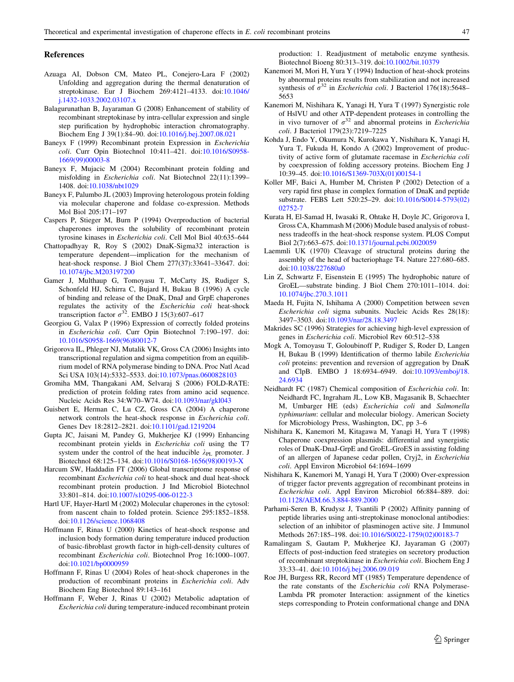#### <span id="page-20-0"></span>References

- Azuaga AI, Dobson CM, Mateo PL, Conejero-Lara F (2002) Unfolding and aggregation during the thermal denaturation of streptokinase. Eur J Biochem 269:4121–4133. doi[:10.1046/](http://dx.doi.org/10.1046/j.1432-1033.2002.03107.x) [j.1432-1033.2002.03107.x](http://dx.doi.org/10.1046/j.1432-1033.2002.03107.x)
- Balagurunathan B, Jayaraman G (2008) Enhancement of stability of recombinant streptokinase by intra-cellular expression and single step purification by hydrophobic interaction chromatography. Biochem Eng J 39(1):84–90. doi[:10.1016/j.bej.2007.08.021](http://dx.doi.org/10.1016/j.bej.2007.08.021)
- Baneyx F (1999) Recombinant protein Expression in Escherichia coli. Curr Opin Biotechnol 10:411–421. doi:[10.1016/S0958-](http://dx.doi.org/10.1016/S0958-1669(99)00003-8) [1669\(99\)00003-8](http://dx.doi.org/10.1016/S0958-1669(99)00003-8)
- Baneyx F, Mujacic M (2004) Recombinant protein folding and misfolding in Escherichia coli. Nat Biotechnol 22(11):1399– 1408. doi[:10.1038/nbt1029](http://dx.doi.org/10.1038/nbt1029)
- Baneyx F, Palumbo JL (2003) Improving heterologous protein folding via molecular chaperone and foldase co-expression. Methods Mol Biol 205:171–197
- Caspers P, Stieger M, Burn P (1994) Overproduction of bacterial chaperones improves the solubility of recombinant protein tyrosine kinases in Escherichia coli. Cell Mol Biol 40:635–644
- Chattopadhyay R, Roy S (2002) DnaK-Sigma32 interaction is temperature dependent—implication for the mechanism of heat-shock response. J Biol Chem 277(37):33641–33647. doi: [10.1074/jbc.M203197200](http://dx.doi.org/10.1074/jbc.M203197200)
- Gamer J, Multhaup G, Tomoyasu T, McCarty JS, Rudiger S, Schonfeld HJ, Schirra C, Bujard H, Bukau B (1996) A cycle of binding and release of the DnaK, DnaJ and GrpE chaperones regulates the activity of the Escherichia coli heat-shock transcription factor  $\sigma^{32}$ . EMBO J 15(3):607–617
- Georgiou G, Valax P (1996) Expression of correctly folded proteins in Escherichia coli. Curr Opin Biotechnol 7:190–197. doi: [10.1016/S0958-1669\(96\)80012-7](http://dx.doi.org/10.1016/S0958-1669(96)80012-7)
- Grigorova IL, Phleger NJ, Mutalik VK, Gross CA (2006) Insights into transcriptional regulation and sigma competition from an equilibrium model of RNA polymerase binding to DNA. Proc Natl Acad Sci USA 103(14):5332–5533. doi:[10.1073/pnas.0600828103](http://dx.doi.org/10.1073/pnas.0600828103)
- Gromiha MM, Thangakani AM, Selvaraj S (2006) FOLD-RATE: prediction of protein folding rates from amino acid sequence. Nucleic Acids Res 34:W70–W74. doi:[10.1093/nar/gkl043](http://dx.doi.org/10.1093/nar/gkl043)
- Guisbert E, Herman C, Lu CZ, Gross CA (2004) A chaperone network controls the heat-shock response in Escherichia coli. Genes Dev 18:2812–2821. doi[:10.1101/gad.1219204](http://dx.doi.org/10.1101/gad.1219204)
- Gupta JC, Jaisani M, Pandey G, Mukherjee KJ (1999) Enhancing recombinant protein yields in Escherichia coli using the T7 system under the control of the heat inducible  $\lambda_{\text{PL}}$  promoter. J Biotechnol 68:125–134. doi:[10.1016/S0168-1656\(98\)00193-X](http://dx.doi.org/10.1016/S0168-1656(98)00193-X)
- Harcum SW, Haddadin FT (2006) Global transcriptome response of recombinant Escherichia coli to heat-shock and dual heat-shock recombinant protein production. J Ind Microbiol Biotechnol 33:801–814. doi:[10.1007/s10295-006-0122-3](http://dx.doi.org/10.1007/s10295-006-0122-3)
- Hartl UF, Hayer-Hartl M (2002) Molecular chaperones in the cytosol: from nascent chain to folded protein. Science 295:1852–1858. doi[:10.1126/science.1068408](http://dx.doi.org/10.1126/science.1068408)
- Hoffmann F, Rinas U (2000) Kinetics of heat-shock response and inclusion body formation during temperature induced production of basic-fibroblast growth factor in high-cell-density cultures of recombinant Escherichia coli. Biotechnol Prog 16:1000–1007. doi[:10.1021/bp0000959](http://dx.doi.org/10.1021/bp0000959)
- Hoffmann F, Rinas U (2004) Roles of heat-shock chaperones in the production of recombinant proteins in Escherichia coli. Adv Biochem Eng Biotechnol 89:143–161
- Hoffmann F, Weber J, Rinas U (2002) Metabolic adaptation of Escherichia coli during temperature-induced recombinant protein

production: 1. Readjustment of metabolic enzyme synthesis. Biotechnol Bioeng 80:313–319. doi[:10.1002/bit.10379](http://dx.doi.org/10.1002/bit.10379)

- Kanemori M, Mori H, Yura Y (1994) Induction of heat-shock proteins by abnormal proteins results from stabilization and not increased synthesis of  $\sigma^{32}$  in *Escherichia coli*. J Bacteriol 176(18):5648– 5653
- Kanemori M, Nishihara K, Yanagi H, Yura T (1997) Synergistic role of HslVU and other ATP-dependent proteases in controlling the in vivo turnover of  $\sigma^{32}$  and abnormal proteins in *Escherichia* coli. J Bacteriol 179(23):7219–7225
- Kohda J, Endo Y, Okumura N, Kurokawa Y, Nishihara K, Yanagi H, Yura T, Fukuda H, Kondo A (2002) Improvement of productivity of active form of glutamate racemase in Escherichia coli by coexpression of folding accessory proteins. Biochem Eng J 10:39–45. doi[:10.1016/S1369-703X\(01\)00154-1](http://dx.doi.org/10.1016/S1369-703X(01)00154-1)
- Koller MF, Baici A, Humber M, Christen P (2002) Detection of a very rapid first phase in complex formation of DnaK and peptide substrate. FEBS Lett 520:25–29. doi:[10.1016/S0014-5793\(02\)](http://dx.doi.org/10.1016/S0014-5793(02)02752-7) [02752-7](http://dx.doi.org/10.1016/S0014-5793(02)02752-7)
- Kurata H, El-Samad H, Iwasaki R, Ohtake H, Doyle JC, Grigorova I, Gross CA, Khammash M (2006) Module based analysis of robustness tradeoffs in the heat-shock response system. PLOS Comput Biol 2(7):663–675. doi:[10.1371/journal.pcbi.0020059](http://dx.doi.org/10.1371/journal.pcbi.0020059)
- Laemmli UK (1970) Cleavage of structural proteins during the assembly of the head of bacteriophage T4. Nature 227:680–685. doi[:10.1038/227680a0](http://dx.doi.org/10.1038/227680a0)
- Lin Z, Schwartz F, Eisenstein E (1995) The hydrophobic nature of GroEL—substrate binding. J Biol Chem 270:1011–1014. doi: [10.1074/jbc.270.3.1011](http://dx.doi.org/10.1074/jbc.270.3.1011)
- Maeda H, Fujita N, Ishihama A (2000) Competition between seven Escherichia coli sigma subunits. Nucleic Acids Res 28(18): 3497–3503. doi[:10.1093/nar/28.18.3497](http://dx.doi.org/10.1093/nar/28.18.3497)
- Makrides SC (1996) Strategies for achieving high-level expression of genes in Escherichia coli. Microbiol Rev 60:512–538
- Mogk A, Tomoyasu T, Goloubinoff P, Rudiger S, Roder D, Langen H, Bukau B (1999) Identification of thermo labile Escherichia coli proteins: prevention and reversion of aggregation by DnaK and ClpB. EMBO J 18:6934–6949. doi[:10.1093/emboj/18.](http://dx.doi.org/10.1093/emboj/18.24.6934) [24.6934](http://dx.doi.org/10.1093/emboj/18.24.6934)
- Neidhardt FC (1987) Chemical composition of Escherichia coli. In: Neidhardt FC, Ingraham JL, Low KB, Magasanik B, Schaechter M, Umbarger HE (eds) Escherichia coli and Salmonella typhimurium: cellular and molecular biology. American Society for Microbiology Press, Washington, DC, pp 3–6
- Nishihara K, Kanemori M, Kitagawa M, Yanagi H, Yura T (1998) Chaperone coexpression plasmids: differential and synergistic roles of DnaK-DnaJ-GrpE and GroEL-GroES in assisting folding of an allergen of Japanese cedar pollen, Cryj2, in Escherichia coli. Appl Environ Microbiol 64:1694–1699
- Nishihara K, Kanemori M, Yanagi H, Yura T (2000) Over-expression of trigger factor prevents aggregation of recombinant proteins in Escherichia coli. Appl Environ Microbiol 66:884–889. doi: [10.1128/AEM.66.3.884-889.2000](http://dx.doi.org/10.1128/AEM.66.3.884-889.2000)
- Parhami-Seren B, Krudysz J, Tsantili P (2002) Affinity panning of peptide libraries using anti-streptokinase monoclonal antibodies: selection of an inhibitor of plasminogen active site. J Immunol Methods 267:185–198. doi:[10.1016/S0022-1759\(02\)00183-7](http://dx.doi.org/10.1016/S0022-1759(02)00183-7)
- Ramalingam S, Gautam P, Mukherjee KJ, Jayaraman G (2007) Effects of post-induction feed strategies on secretory production of recombinant streptokinase in Escherichia coli. Biochem Eng J 33:33–41. doi[:10.1016/j.bej.2006.09.019](http://dx.doi.org/10.1016/j.bej.2006.09.019)
- Roe JH, Burgess RR, Record MT (1985) Temperature dependence of the rate constants of the Escherichia coli RNA Polymerase-Lambda PR promoter Interaction: assignment of the kinetics steps corresponding to Protein conformational change and DNA